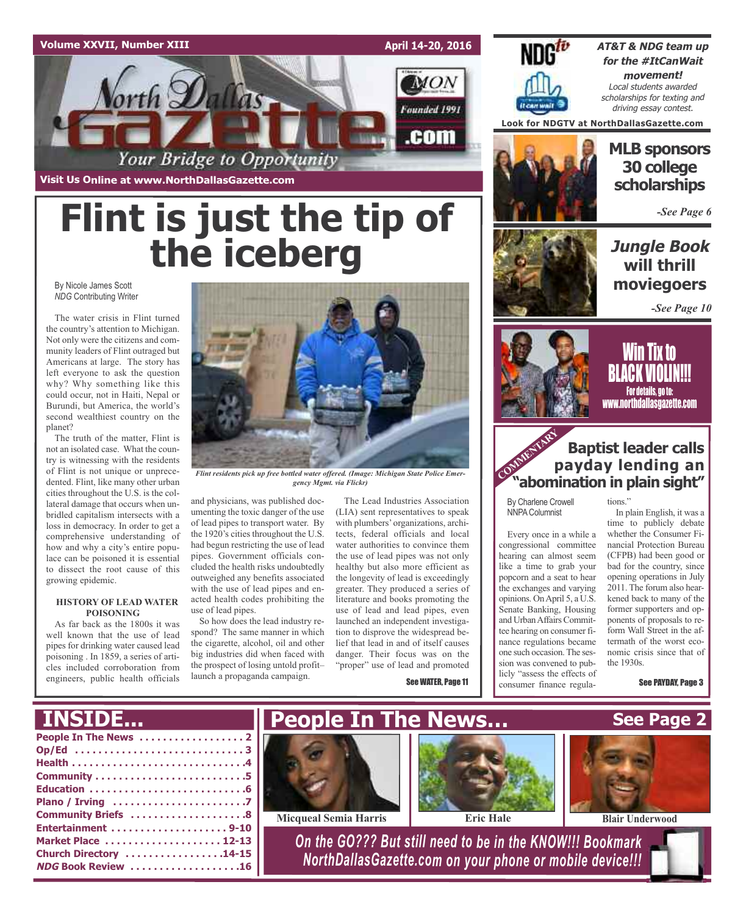#### **Volume XXVII, Number XIII**

**April 14-20, 2016**



**Visit Us Online at www.NorthDallasGazette.com**

# **Flint is just the tip of the iceberg**

By Nicole James Scott *NDG* Contributing Writer

The water crisis in Flint turned the country's attention to Michigan. Not only were the citizens and community leaders of Flint outraged but Americans at large. The story has left everyone to ask the question why? Why something like this could occur, not in Haiti, Nepal or Burundi, but America, the world's second wealthiest country on the planet?

The truth of the matter, Flint is not an isolated case. What the country is witnessing with the residents of Flint is not unique or unprecedented. Flint, like many other urban cities throughout the U.S. is the collateral damage that occurs when unbridled capitalism intersects with a loss in democracy. In order to get a comprehensive understanding of how and why a city's entire populace can be poisoned it is essential to dissect the root cause of this growing epidemic.

#### **HISTORY OF LEAD WATER POISONING**

As far back as the 1800s it was well known that the use of lead pipes for drinking water caused lead poisoning . In 1859, a series of articles included corroboration from engineers, public health officials



*Flint residents pick up free bottled water offered. (Image: Michigan State Police Emergency Mgmt. via Flickr)*

and physicians, was published documenting the toxic danger of the use of lead pipes to transport water. By the 1920's cities throughout the U.S. had begun restricting the use of lead pipes. Government officials concluded the health risks undoubtedly outweighed any benefits associated with the use of lead pipes and enacted health codes prohibiting the use of lead pipes.

So how does the lead industry respond? The same manner in which the cigarette, alcohol, oil and other big industries did when faced with the prospect of losing untold profit– launch a propaganda campaign.

The Lead Industries Association (LIA) sent representatives to speak with plumbers' organizations, architects, federal officials and local water authorities to convince them the use of lead pipes was not only healthy but also more efficient as the longevity of lead is exceedingly greater. They produced a series of literature and books promoting the use of lead and lead pipes, even launched an independent investigation to disprove the widespread belief that lead in and of itself causes danger. Their focus was on the "proper" use of lead and promoted

See WATER, Page 11



**AT&T & NDG team up for the #ItCanWait movement!** Local students awarded scholarships for texting and driving essay contest.

**Look for NDGTV at NorthDallasGazette.com**



### **MLB sponsors 30 college scholarships**

*-See Page 6*

### **Jungle Book will thrill moviegoers**

*-See Page 10*



<u>Will tix to</u> BLACK VIOLIN!!! For details, go to: www.northdallasgazette.com

### **Baptist leader calls payday lending an "abomination in plain sight"** COMMENTARY P

By Charlene Crowell NNPAColumnist

Every once in a while a congressional committee hearing can almost seem like a time to grab your popcorn and a seat to hear the exchanges and varying opinions. OnApril 5, a U.S. Senate Banking, Housing and Urban Affairs Committee hearing on consumer finance regulations became one such occasion.The session was convened to publicly "assess the effects of consumer finance regulations<sup>'</sup>

In plain English, it was a time to publicly debate whether the Consumer Financial Protection Bureau (CFPB) had been good or bad for the country, since opening operations in July 2011. The forum also hearkened back to many of the former supporters and opponents of proposals to reform Wall Street in the aftermath of the worst economic crisis since that of the 1930s.

See PAYDAY, Page 3

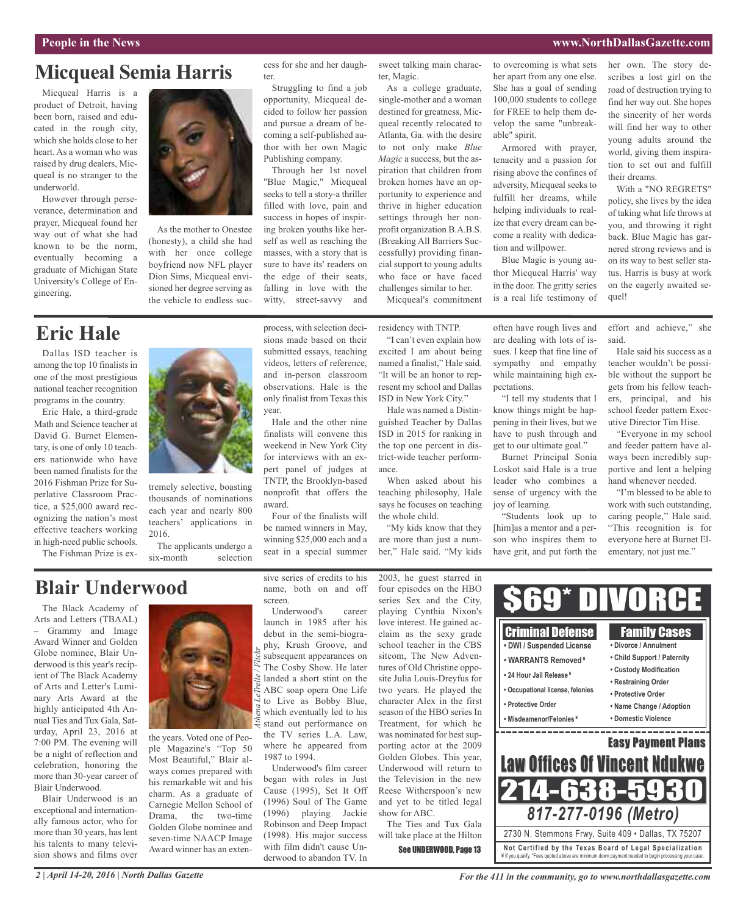#### **People in the News www.NorthDallasGazette.com**

### **Micqueal Semia Harris**

Micqueal Harris is a product of Detroit, having been born, raised and educated in the rough city, which she holds close to her heart. As a woman who was raised by drug dealers, Micqueal is no stranger to the underworld.

However through perseverance, determination and prayer, Micqueal found her way out of what she had known to be the norm, eventually becoming a graduate of Michigan State University's College of Engineering.



As the mother to Onestee (honesty), a child she had with her once college boyfriend now NFL player Dion Sims, Micqueal envisioned her degree serving as the vehicle to endless success for she and her daughter.

Struggling to find a job opportunity, Micqueal decided to follow her passion and pursue a dream of becoming a self-published author with her own Magic Publishing company.

Through her 1st novel "Blue Magic," Micqueal seeks to tell a story-a thriller filled with love, pain and success in hopes of inspiring broken youths like herself as well as reaching the masses, with a story that is sure to have its' readers on the edge of their seats, falling in love with the witty, street-savvy and

process, with selection decisions made based on their

sweet talking main character, Magic.

As a college graduate, single-mother and a woman destined for greatness, Micqueal recently relocated to Atlanta, Ga. with the desire to not only make *Blue Magic* a success, but the aspiration that children from broken homes have an opportunity to experience and thrive in higher education settings through her nonprofit organization B.A.B.S. (Breaking All Barriers Successfully) providing financial support to young adults who face or have faced challenges similar to her.

Micqueal's commitment

residency with TNTP.

"I can't even explain how excited I am about being named a finalist," Hale said. "It will be an honor to represent my school and Dallas ISD in New York City."

Hale was named a Distinguished Teacher by Dallas ISD in 2015 for ranking in the top one percent in district-wide teacher performance.

When asked about his teaching philosophy, Hale says he focuses on teaching the whole child.

"My kids know that they are more than just a number," Hale said. "My kids to overcoming is what sets her apart from any one else. She has a goal of sending 100,000 students to college for FREE to help them develop the same "unbreakable" spirit.

Armored with prayer, tenacity and a passion for rising above the confines of adversity, Micqueal seeks to fulfill her dreams, while helping individuals to realize that every dream can become a reality with dedication and willpower.

Blue Magic is young author Micqueal Harris' way in the door. The gritty series is a real life testimony of

often have rough lives and are dealing with lots of issues. I keep that fine line of sympathy and empathy while maintaining high ex-

"I tell my students that I know things might be happening in their lives, but we have to push through and get to our ultimate goal." Burnet Principal Sonia Loskot said Hale is a true leader who combines a sense of urgency with the

"Students look up to [him]as a mentor and a person who inspires them to have grit, and put forth the

pectations.

joy of learning.

her own. The story describes a lost girl on the road of destruction trying to find her way out. She hopes the sincerity of her words will find her way to other young adults around the world, giving them inspiration to set out and fulfill their dreams.

With a "NO REGRETS" policy, she lives by the idea of taking what life throws at you, and throwing it right back. Blue Magic has garnered strong reviews and is on its way to best seller status. Harris is busy at work on the eagerly awaited sequel!

effort and achieve," she said.

Hale said his success as a teacher wouldn't be possible without the support he gets from his fellow teachers, principal, and his school feeder pattern Executive Director Tim Hise.

"Everyone in my school and feeder pattern have always been incredibly supportive and lent a helping hand whenever needed.

"I'm blessed to be able to work with such outstanding, caring people," Hale said. "This recognition is for everyone here at Burnet Elementary, not just me."

# **Eric Hale**

Dallas ISD teacher is among the top 10 finalists in one of the most prestigious national teacher recognition programs in the country.

Eric Hale, a third-grade Math and Science teacher at David G. Burnet Elementary, is one of only 10 teachers nationwide who have been named finalists for the 2016 Fishman Prize for Superlative Classroom Practice, a \$25,000 award recognizing the nation's most effective teachers working in high-need public schools.

The Fishman Prize is ex-



tremely selective, boasting thousands of nominations each year and nearly 800 teachers' applications in 2016.

The applicants undergo a six-month selection

### **Blair Underwood**

The Black Academy of Arts and Letters (TBAAL) – Grammy and Image Award Winner and Golden Globe nominee, Blair Underwood is this year's recipient of The Black Academy of Arts and Letter's Luminary Arts Award at the highly anticipated 4th Annual Ties and Tux Gala, Saturday, April 23, 2016 at 7:00 PM. The evening will be a night of reflection and celebration, honoring the more than 30-year career of Blair Underwood.

Blair Underwood is an exceptional and internationally famous actor, who for more than 30 years, has lent his talents to many television shows and films over

*2 | April 14-20, 2016 | North Dallas Gazette*



the years. Voted one of People Magazine's "Top 50 Most Beautiful," Blair always comes prepared with his remarkable wit and his charm. As a graduate of Carnegie Mellon School of Drama, the two-time Golden Globe nominee and seven-time NAACP Image Award winner has an extensive series of credits to his name, both on and off screen.

Underwood's career launch in 1985 after his debut in the semi-biography, Krush Groove, and  $\tilde{\mathcal{S}}$  subsequent appearances on The Cosby Show. He later  $\approx$  landed a short stint on the ABC soap opera One Life to Live as Bobby Blue, which eventually led to his stand out performance on the TV series L.A. Law, where he appeared from 1987 to 1994. *Athena LeTrelle / Flickr*

Underwood's film career began with roles in Just Cause (1995), Set It Off (1996) Soul of The Game (1996) playing Jackie Robinson and Deep Impact (1998). His major success with film didn't cause Underwood to abandon TV. In

2003, he guest starred in four episodes on the HBO series Sex and the City, playing Cynthia Nixon's love interest. He gained acclaim as the sexy grade school teacher in the CBS sitcom, The New Adventures of Old Christine opposite Julia Louis-Dreyfus for two years. He played the character Alex in the first season of the HBO series In Treatment, for which he was nominated for best supporting actor at the 2009 Golden Globes. This year, Underwood will return to the Television in the new Reese Witherspoon's new and yet to be titled legal show for ABC. The Ties and Tux Gala

will take place at the Hilton See UNDERWOOD, Page 13



*For the 411 in the community, go to www.northdallasgazette.com*

¥ If you qualify. \*Fees quoted above are minimum down payment needed to begin processing your case.

submitted essays, teaching videos, letters of reference,

finalists will convene this weekend in New York City for interviews with an expert panel of judges at TNTP, the Brooklyn-based nonprofit that offers the award.

Four of the finalists will be named winners in May, winning \$25,000 each and a seat in a special summer

and in-person classroom observations. Hale is the only finalist from Texas this year. Hale and the other nine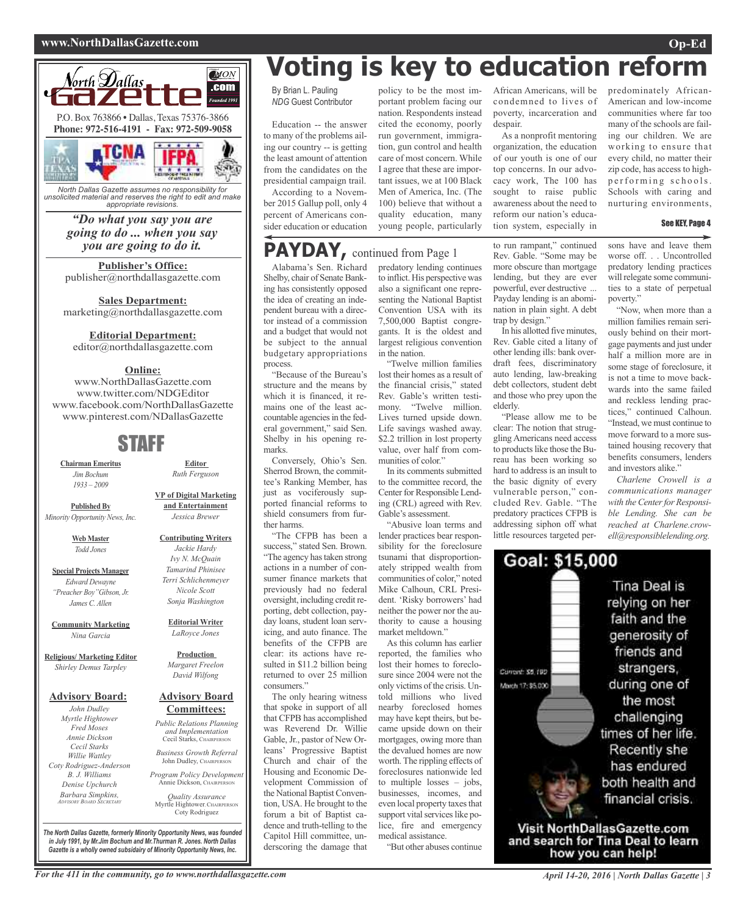#### **www.NorthDallasGazette.com Op-Ed**



*North Dallas Gazette assumes no responsibility for unsolicited material and reserves the right to edit and make appropriate revisions.*

*"Do what you say you are going to do ... when you say you are going to do it.*

**Publisher's Office:** publisher@northdallasgazette.com

**Sales Department:** marketing@northdallasgazette.com

#### **Editorial Department:**

editor@northdallasgazette.com

#### **Online:**

www.NorthDallasGazette.com www.twitter.com/NDGEditor www.facebook.com/NorthDallasGazette www.pinterest.com/NDallasGazette

### STAFF

**Chairman Emeritus** *Jim Bochum 1933 – 2009*

**Published By** *Minority Opportunity News, Inc.*

> **Web Master** *Todd Jones*

**Special Projects Manager** *Edward Dewayne "Preacher Boy"Gibson, Jr. James C. Allen*

**Community Marketing** *Nina Garcia*

**Religious/ Marketing Editor** *Shirley Demus Tarpley*

#### **Advisory Board:**

*John Dudley Myrtle Hightower Fred Moses Annie Dickson Cecil Starks Willie Wattley Coty Rodriguez-Anderson B. J. Williams Denise Upchurch Barbara Simpkins, ADVISORY BOARD SECRETARY*

*Tamarind Phinisee Terri Schlichenmeyer Nicole Scott Sonja Washington* **Editorial Writer**

**Editor** *Ruth Ferguson*

**VP of Digital Marketing and Entertainment** *Jessica Brewer*

**Contributing Writers** *Jackie Hardy Ivy N. McQuain*

*LaRoyce Jones*

**Production** *Margaret Freelon David Wilfong*

#### **Advisory Board Committees:**

*Public Relations Planning and Implementation* Cecil Starks, CHAIRPERSON

*Business Growth Referral* John Dudley, CHAIRPERSON

*Program Policy Development* Annie Dickson, CHAIRPER

*Quality Assurance* Myrtle Hightower, CHAIRPERSON Coty Rodriguez

**Voting is key to education reform**

By Brian L. Pauling *NDG* Guest Contributor

Education -- the answer to many of the problems ailing our country -- is getting the least amount of attention from the candidates on the presidential campaign trail. According to a Novem-

ber 2015 Gallup poll, only 4 percent of Americans consider education or education

### **PAYDAY,** continued from Page <sup>1</sup>

Alabama's Sen. Richard Shelby, chair of Senate Banking has consistently opposed the idea of creating an independent bureau with a director instead of a commission and a budget that would not be subject to the annual budgetary appropriations process.

"Because of the Bureau's structure and the means by which it is financed, it remains one of the least accountable agencies in the federal government," said Sen. Shelby in his opening remarks.

Conversely, Ohio's Sen. Sherrod Brown, the committee's Ranking Member, has just as vociferously supported financial reforms to shield consumers from further harms.

"The CFPB has been a success," stated Sen. Brown. "The agency has taken strong actions in a number of consumer finance markets that previously had no federal oversight, including credit reporting, debt collection, payday loans, student loan servicing, and auto finance. The benefits of the CFPB are clear: its actions have resulted in \$11.2 billion being returned to over 25 million consumers."

The only hearing witness that spoke in support of all that CFPB has accomplished was Reverend Dr. Willie Gable, Jr., pastor of New Orleans' Progressive Baptist Church and chair of the Housing and Economic Development Commission of the National Baptist Convention, USA. He brought to the forum a bit of Baptist cadence and truth-telling to the Capitol Hill committee, underscoring the damage that

policy to be the most important problem facing our nation. Respondents instead cited the economy, poorly run government, immigration, gun control and health care of most concern. While I agree that these are important issues, we at 100 Black Men of America, Inc. (The 100) believe that without a quality education, many young people, particularly

predatory lending continues to inflict. His perspective was also a significant one representing the National Baptist Convention USA with its 7,500,000 Baptist congregants. It is the oldest and largest religious convention in the nation.

"Twelve million families lost their homes as a result of the financial crisis," stated Rev. Gable's written testimony. "Twelve million. Lives turned upside down. Life savings washed away. \$2.2 trillion in lost property value, over half from communities of color."

In its comments submitted to the committee record, the Center for Responsible Lending (CRL) agreed with Rev. Gable's assessment.

"Abusive loan terms and lender practices bear responsibility for the foreclosure tsunami that disproportionately stripped wealth from communities of color," noted Mike Calhoun, CRL President. 'Risky borrowers' had neither the power nor the authority to cause a housing market meltdown."

As this column has earlier reported, the families who lost their homes to foreclosure since 2004 were not the only victims of the crisis. Untold millions who lived nearby foreclosed homes may have kept theirs, but became upside down on their mortgages, owing more than the devalued homes are now worth. The rippling effects of foreclosures nationwide led to multiple losses – jobs, businesses, incomes, and even local property taxes that support vital services like police, fire and emergency medical assistance.

"But other abuses continue

African Americans, will be condemned to lives of poverty, incarceration and despair.

As a nonprofit mentoring organization, the education of our youth is one of our top concerns. In our advocacy work, The 100 has sought to raise public awareness about the need to reform our nation's education system, especially in

to run rampant," continued Rev. Gable. "Some may be more obscure than mortgage lending, but they are ever powerful, ever destructive ... Payday lending is an abomination in plain sight. A debt trap by design."

In his allotted five minutes, Rev. Gable cited a litany of other lending ills: bank overdraft fees, discriminatory auto lending, law-breaking debt collectors, student debt and those who prey upon the elderly.

"Please allow me to be clear: The notion that struggling Americans need access to products like those the Bureau has been working so hard to address is an insult to the basic dignity of every vulnerable person," concluded Rev. Gable. "The predatory practices CFPB is addressing siphon off what little resources targeted perAmerican and low-income communities where far too many of the schools are failing our children. We are working to ensure that every child, no matter their zip code, has access to highp erforming schools. Schools with caring and nurturing environments, See KEY, Page 4

predominately African-

sons have and leave them worse off. . . Uncontrolled predatory lending practices will relegate some communities to a state of perpetual poverty."

"Now, when more than a million families remain seriously behind on their mortgage payments and just under half a million more are in some stage of foreclosure, it is not a time to move backwards into the same failed and reckless lending practices," continued Calhoun. "Instead, we must continue to move forward to a more sustained housing recovery that benefits consumers, lenders and investors alike."

*Charlene Crowell is a communications manager with the Centerfor Responsible Lending. She can be reached at Charlene.crowell@responsiblelending.org.*



*The North Dallas Gazette, formerly Minority Opportunity News, was founded in July 1991, by Mr.Jim Bochum and Mr.Thurman R. Jones. North Dallas Gazette is a wholly owned subsidairy of Minority Opportunity News, Inc.*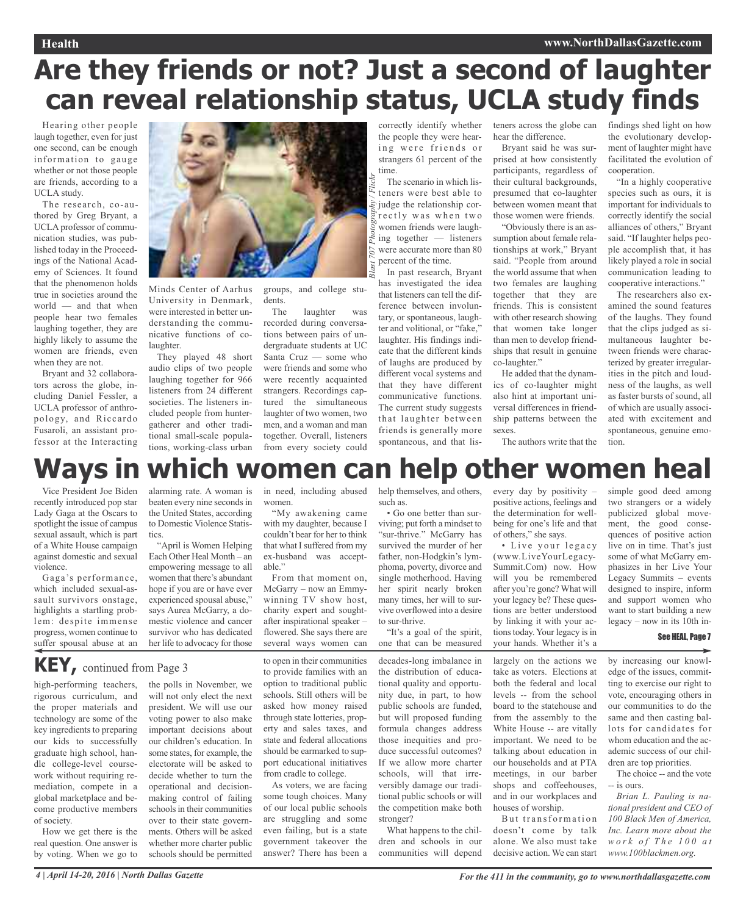#### **Health www.NorthDallasGazette.com**

# **Are they friends or not? Just a second of laughter can reveal relationship status, UCLA study finds**

*Blast 707 Photography / Flickr*

Hearing other people laugh together, even for just one second, can be enough information to gauge whether or not those people are friends, according to a UCLA study.

The research, co-authored by Greg Bryant, a UCLA professor of communication studies, was published today in the Proceedings of the National Academy of Sciences. It found that the phenomenon holds true in societies around the world — and that when people hear two females laughing together, they are highly likely to assume the women are friends, even when they are not.

Bryant and 32 collaborators across the globe, including Daniel Fessler, a UCLA professor of anthropology, and Riccardo Fusaroli, an assistant professor at the Interacting



Minds Center of Aarhus University in Denmark, were interested in better understanding the communicative functions of colaughter.

They played 48 short audio clips of two people laughing together for 966 listeners from 24 different societies. The listeners included people from huntergatherer and other traditional small-scale populations, working-class urban

groups, and college students.

The laughter was recorded during conversations between pairs of undergraduate students at UC Santa Cruz — some who were friends and some who were recently acquainted strangers. Recordings captured the simultaneous laughter of two women, two men, and a woman and man together. Overall, listeners from every society could

correctly identify whether the people they were hearing were friends or strangers 61 percent of the time.

The scenario in which listeners were best able to judge the relationship correctly was when two women friends were laughing together — listeners were accurate more than 80  $\sum_{k=1}^{\infty}$  percent of the time.

In past research, Bryant has investigated the idea that listeners can tell the difference between involuntary, or spontaneous, laughter and volitional, or "fake," laughter. His findings indicate that the different kinds of laughs are produced by different vocal systems and that they have different communicative functions. The current study suggests that laughter between friends is generally more spontaneous, and that listeners across the globe can hear the difference.

Bryant said he was surprised at how consistently participants, regardless of their cultural backgrounds, presumed that co-laughter between women meant that those women were friends.

"Obviously there is an assumption about female relationships at work," Bryant said. "People from around the world assume that when two females are laughing together that they are friends. This is consistent with other research showing that women take longer than men to develop friendships that result in genuine co-laughter."

He added that the dynamics of co-laughter might also hint at important universal differences in friendship patterns between the sexes.

findings shed light on how the evolutionary development of laughter might have facilitated the evolution of cooperation.

"In a highly cooperative species such as ours, it is important for individuals to correctly identify the social alliances of others," Bryant said. "If laughter helps people accomplish that, it has likely played a role in social communication leading to cooperative interactions."

The researchers also examined the sound features of the laughs. They found that the clips judged as simultaneous laughter between friends were characterized by greater irregularities in the pitch and loudness of the laughs, as well as faster bursts of sound, all of which are usually associated with excitement and spontaneous, genuine emotion.

The authors write that the

### help themselves, and others, **Ways in which women can help other women heal**

Vice President Joe Biden recently introduced pop star Lady Gaga at the Oscars to spotlight the issue of campus sexual assault, which is part of a White House campaign against domestic and sexual violence.

Gaga's performance, which included sexual-assault survivors onstage, highlights a startling problem: despite immense progress, women continue to suffer spousal abuse at an

**KEY,** continued from Page <sup>3</sup>

alarming rate. A woman is beaten every nine seconds in the United States, according to Domestic Violence Statistics.

"April is Women Helping Each Other Heal Month – an empowering message to all women that there's abundant hope if you are or have ever experienced spousal abuse," says Aurea McGarry, a domestic violence and cancer survivor who has dedicated her life to advocacy for those

making control of failing schools in their communities over to their state governments. Others will be asked whether more charter public schools should be permitted

in need, including abused women.

"My awakening came with my daughter, because I couldn't bear for her to think that what I suffered from my ex-husband was acceptable."

From that moment on, McGarry – now an Emmywinning TV show host, charity expert and soughtafter inspirational speaker – flowered. She says there are several ways women can

to open in their communities to provide families with an option to traditional public schools. Still others will be asked how money raised through state lotteries, property and sales taxes, and state and federal allocations should be earmarked to support educational initiatives from cradle to college. As voters, we are facing some tough choices. Many of our local public schools are struggling and some even failing, but is a state government takeover the answer? There has been a

survived the murder of her father, non-Hodgkin's lymphoma, poverty, divorce and single motherhood. Having her spirit nearly broken

such as.

to sur-thrive. "It's a goal of the spirit, one that can be measured

many times, her will to survive overflowed into a desire

• Go one better than surviving; put forth a mindset to "sur-thrive." McGarry has

decades-long imbalance in the distribution of educational quality and opportunity due, in part, to how public schools are funded, but will proposed funding formula changes address those inequities and produce successful outcomes? If we allow more charter schools, will that irreversibly damage our traditional public schools or will the competition make both stronger?

What happens to the children and schools in our communities will depend every day by positivity – positive actions, feelings and the determination for wellbeing for one's life and that of others," she says.

• Live your legacy (www.LiveYourLegacy-Summit.Com) now. How will you be remembered after you're gone? What will your legacy be? These questions are better understood by linking it with your actions today. Your legacy is in your hands. Whether it's a

largely on the actions we take as voters. Elections at both the federal and local levels -- from the school board to the statehouse and from the assembly to the White House -- are vitally important. We need to be talking about education in our households and at PTA meetings, in our barber shops and coffeehouses, and in our workplaces and houses of worship.

But transformation doesn't come by talk alone. We also must take decisive action. We can start

simple good deed among two strangers or a widely publicized global movement, the good consequences of positive action live on in time. That's just some of what McGarry emphasizes in her Live Your Legacy Summits – events designed to inspire, inform and support women who want to start building a new legacy – now in its 10th in-

#### See HEAL, Page 7

by increasing our knowledge of the issues, committing to exercise our right to vote, encouraging others in our communities to do the same and then casting ballots for candidates for whom education and the academic success of our children are top priorities.

The choice -- and the vote -- is ours.

*Brian L. Pauling is national president and CEO of 100 Black Men of America, Inc. Learn more about the w o r k o f T h e 1 0 0 a t www.100blackmen.org.*

high-performing teachers, rigorous curriculum, and the proper materials and technology are some of the key ingredients to preparing our kids to successfully graduate high school, handle college-level coursework without requiring remediation, compete in a the polls in November, we will not only elect the next president. We will use our voting power to also make important decisions about our children's education. In some states, for example, the electorate will be asked to decide whether to turn the operational and decision-

come productive members of society. How we get there is the real question. One answer is by voting. When we go to

global marketplace and be-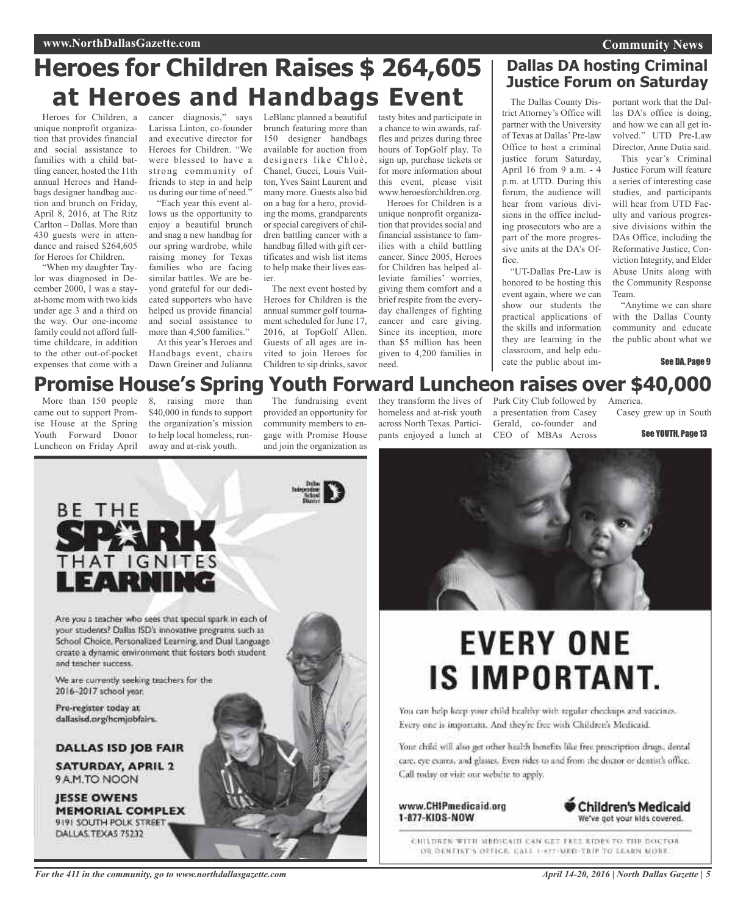# **Heroes for Children Raises \$ 264,605 at Heroes and Handbags Event**

Heroes for Children, a unique nonprofit organization that provides financial and social assistance to families with a child battling cancer, hosted the 11th annual Heroes and Handbags designer handbag auction and brunch on Friday, April 8, 2016, at The Ritz Carlton – Dallas. More than 430 guests were in attendance and raised \$264,605 for Heroes for Children.

"When my daughter Taylor was diagnosed in December 2000, I was a stayat-home mom with two kids under age 3 and a third on the way. Our one-income family could not afford fulltime childcare, in addition to the other out-of-pocket expenses that come with a cancer diagnosis," says Larissa Linton, co-founder and executive director for Heroes for Children. "We were blessed to have a strong community of friends to step in and help us during our time of need."

"Each year this event allows us the opportunity to enjoy a beautiful brunch and snag a new handbag for our spring wardrobe, while raising money for Texas families who are facing similar battles. We are beyond grateful for our dedicated supporters who have helped us provide financial and social assistance to more than 4,500 families."

At this year's Heroes and Handbags event, chairs Dawn Greiner and Julianna

LeBlanc planned a beautiful brunch featuring more than 150 designer handbags available for auction from designers like Chloé, Chanel, Gucci, Louis Vuitton, Yves Saint Laurent and many more. Guests also bid on a bag for a hero, providing the moms, grandparents or special caregivers of children battling cancer with a handbag filled with gift certificates and wish list items to help make their lives easier.

The next event hosted by Heroes for Children is the annual summer golf tournament scheduled for June 17, 2016, at TopGolf Allen. Guests of all ages are invited to join Heroes for Children to sip drinks, savor tasty bites and participate in a chance to win awards, raffles and prizes during three hours of TopGolf play. To sign up, purchase tickets or for more information about this event, please visit www.heroesforchildren.org. Heroes for Children is a

unique nonprofit organization that provides social and financial assistance to families with a child battling cancer. Since 2005, Heroes for Children has helped alleviate families' worries, giving them comfort and a brief respite from the everyday challenges of fighting cancer and care giving. Since its inception, more than \$5 million has been given to 4,200 families in need.

### **Dallas DA hosting Criminal Justice Forum on Saturday**

The Dallas County District Attorney's Office will partner with the University of Texas at Dallas'Pre-law Office to host a criminal justice forum Saturday, April 16 from 9 a.m. - 4 p.m. at UTD. During this forum, the audience will hear from various divisions in the office including prosecutors who are a part of the more progressive units at the DA's Office.

"UT-Dallas Pre-Law is honored to be hosting this event again, where we can show our students the practical applications of the skills and information they are learning in the classroom, and help educate the public about important work that the Dallas DA's office is doing, and how we can all get involved." UTD Pre-Law Director, Anne Dutia said.

**Community News**

This year's Criminal Justice Forum will feature a series of interesting case studies, and participants will hear from UTD Faculty and various progressive divisions within the DAs Office, including the Reformative Justice, Conviction Integrity, and Elder Abuse Units along with the Community Response Team.

"Anytime we can share with the Dallas County community and educate the public about what we

See DA, Page 9

### **Promise House's Spring Youth Forward Luncheon raises over \$40,000**

More than 150 people came out to support Promise House at the Spring Youth Forward Donor Luncheon on Friday April

BE THE

SPA

8, raising more than \$40,000 in funds to support the organization's mission to help local homeless, runaway and at-risk youth.

The fundraising event provided an opportunity for community members to engage with Promise House and join the organization as

homeless and at-risk youth across North Texas. Participants enjoyed a lunch at CEO of MBAs Across

they transform the lives of Park City Club followed by a presentation from Casey Gerald, co-founder and

Casey grew up in South

**America** 

See YOUTH, Page 13



# **EVERY ONE IS IMPORTANT.**

You can help keep your child healthy with regular checkups and vaccines. Every one is important. And they're free with Children's Medicaid.

Your child will also get other health benefits like free prescription drugs, dental care, eye exams, and glasses. Even rides to and from the doctor or dentist's office. Call today or visit our website to apply.

www.CHIPmedicaid.org 1-877-KIDS-NOW



CHILDREN WITH MEDICAIN CAN GET FREE RIDES TO THE DOCTOR DR DENTIST'S DEFICE. CALL 1-877-MED-TRIP TO LEARN MORE.

Are you a teacher who sees that special spark in each of your students? Dallas ISD's innovative programs such as School Choice, Personalized Learning, and Dual Language create a dynamic environment that fosters both student. and teacher success.

We are currently seeking teachers for the 2016-2017 school year.

THAT IGNITES

EARNII

Pre-register today at dallasisd.org/hcmjobfairs.

DALLAS ISD JOB FAIR

**SATURDAY, APRIL 2** 9 A.M.TO NOON

**JESSE OWENS MEMORIAL COMPLEX** 9191 SOUTH POLK STREET DALLAS TEXAS 75232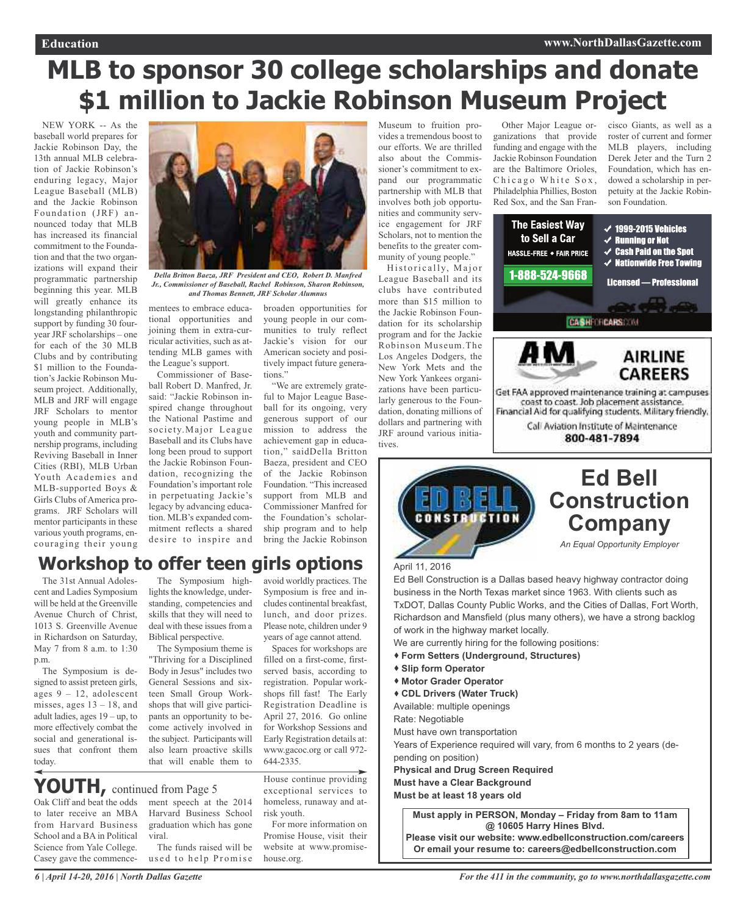# **MLB to sponsor 30 college scholarships and donate \$1 million to Jackie Robinson Museum Project**

NEW YORK -- As the baseball world prepares for Jackie Robinson Day, the 13th annual MLB celebration of Jackie Robinson's enduring legacy, Major League Baseball (MLB) and the Jackie Robinson Foundation (JRF) announced today that MLB has increased its financial commitment to the Foundation and that the two organizations will expand their programmatic partnership beginning this year. MLB will greatly enhance its longstanding philanthropic support by funding 30 fouryear JRF scholarships – one for each of the 30 MLB Clubs and by contributing \$1 million to the Foundation's Jackie Robinson Museum project. Additionally, MLB and JRF will engage JRF Scholars to mentor young people in MLB's youth and community partnership programs, including Reviving Baseball in Inner Cities (RBI), MLB Urban Youth Academies and MLB-supported Boys & Girls Clubs of America programs. JRF Scholars will mentor participants in these various youth programs, encouraging their young



*Della Britton Baeza, JRF President and CEO, Robert D. Manfred Jr., Commissioner of Baseball, Rachel Robinson, Sharon Robinson, and Thomas Bennett, JRF Scholar Alumnus*

mentees to embrace educational opportunities and joining them in extra-curricular activities, such as attending MLB games with the League's support.

Commissioner of Baseball Robert D. Manfred, Jr. said: "Jackie Robinson inspired change throughout the National Pastime and society.Major League Baseball and its Clubs have long been proud to support the Jackie Robinson Foundation, recognizing the Foundation's important role in perpetuating Jackie's legacy by advancing education. MLB's expanded commitment reflects a shared desire to inspire and broaden opportunities for young people in our communities to truly reflect Jackie's vision for our American society and positively impact future generations."

"We are extremely grateful to Major League Baseball for its ongoing, very generous support of our mission to address the achievement gap in education," saidDella Britton Baeza, president and CEO of the Jackie Robinson Foundation. "This increased support from MLB and Commissioner Manfred for the Foundation's scholarship program and to help bring the Jackie Robinson

### avoid worldly practices. The **Workshop to offer teen girls options**

The 31st Annual Adolescent and Ladies Symposium will be held at the Greenville Avenue Church of Christ 1013 S. Greenville Avenue in Richardson on Saturday, May 7 from 8 a.m. to 1:30 p.m.

The Symposium is designed to assist preteen girls, ages  $9 - 12$ , adolescent misses, ages  $13 - 18$ , and adult ladies, ages 19 – up, to more effectively combat the social and generational issues that confront them today.

The Symposium highlights the knowledge, understanding, competencies and skills that they will need to deal with these issues from a Biblical perspective.

The Symposium theme is "Thriving for a Disciplined Body in Jesus" includes two General Sessions and sixteen Small Group Workshops that will give participants an opportunity to become actively involved in the subject. Participants will also learn proactive skills

ment speech at the 2014 Harvard Business School graduation which has gone

The funds raised will be used to help Promise

**YOUTH,** continued from Page <sup>5</sup>

viral.

Oak Cliff and beat the odds to later receive an MBA from Harvard Business School and a BA in Political Science from Yale College. Casey gave the commence-

Symposium is free and includes continental breakfast, lunch, and door prizes. Please note, children under 9 years of age cannot attend.

that will enable them to

House continue providing exceptional services to Early Registration details at: www.gacoc.org or call 972- 644-2335.

Spaces for workshops are filled on a first-come, firstserved basis, according to registration. Popular workshops fill fast! The Early Registration Deadline is April 27, 2016. Go online for Workshop Sessions and

homeless, runaway and atrisk youth. For more information on

Promise House, visit their website at www.promisehouse.org.

Museum to fruition provides a tremendous boost to our efforts. We are thrilled also about the Commissioner's commitment to expand our programmatic partnership with MLB that involves both job opportunities and community service engagement for JRF Scholars, not to mention the benefits to the greater community of young people."

Historically, Major League Baseball and its clubs have contributed more than \$15 million to the Jackie Robinson Foundation for its scholarship program and for the Jackie Robinson Museum.The Los Angeles Dodgers, the New York Mets and the New York Yankees organizations have been particularly generous to the Foundation, donating millions of dollars and partnering with JRF around various initiatives.



Other Major League organizations that provide

cisco Giants, as well as a roster of current and former MLB players, including Derek Jeter and the Turn 2 Foundation, which has endowed a scholarship in perpetuity at the Jackie Robinson Foundation.





### **Ed Bell Construction Company**

*An Equal Opportunity Employer*

#### April 11, 2016

Ed Bell Construction is a Dallas based heavy highway contractor doing business in the North Texas market since 1963. With clients such as TxDOT, Dallas County Public Works, and the Cities of Dallas, Fort Worth, Richardson and Mansfield (plus many others), we have a strong backlog of work in the highway market locally.

We are currently hiring for the following positions:

- **Form Setters (Underground, Structures)**
- **Slip form Operator**
- **Motor Grader Operator**
- **CDL Drivers (Water Truck)**

Available: multiple openings

Rate: Negotiable

Must have own transportation

Years of Experience required will vary, from 6 months to 2 years (depending on position)

**Physical and Drug Screen Required**

**Must have a Clear Background**

**Must be at least 18 years old**

**Must apply in PERSON, Monday – Friday from 8am to 11am @ 10605 Harry Hines Blvd.**

**Please visit our website: www.edbellconstruction.com/careers Or email your resume to: careers@edbellconstruction.com**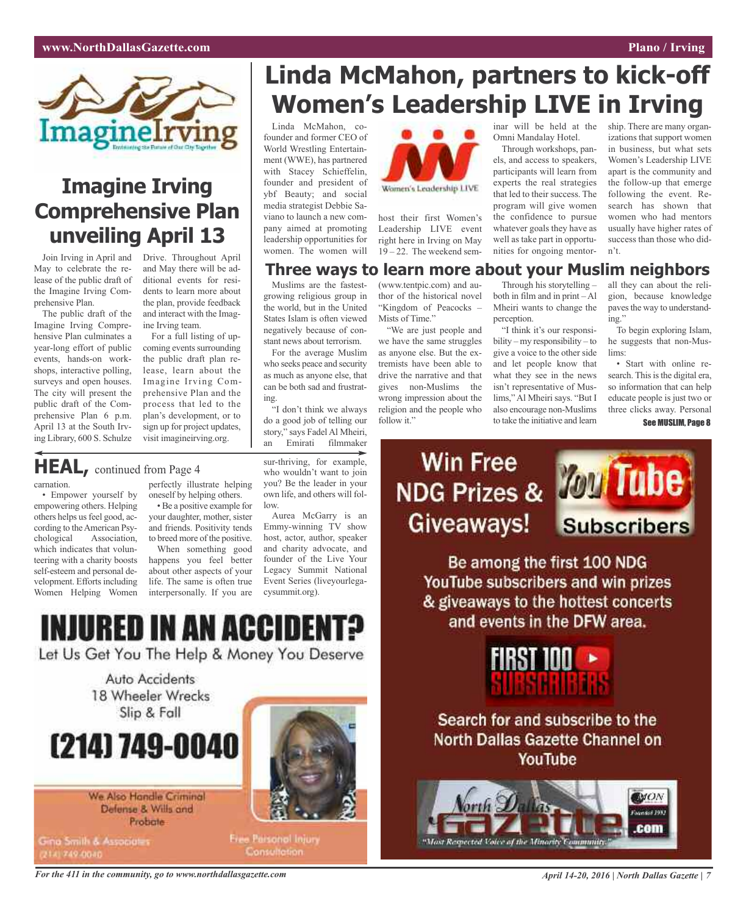ship. There are many organizations that support women in business, but what sets Women's Leadership LIVE apart is the community and the follow-up that emerge following the event. Research has shown that women who had mentors usually have higher rates of success than those who did-



## **Imagine Irving Comprehensive Plan unveiling April 13**

Join Irving in April and May to celebrate the release of the public draft of the Imagine Irving Comprehensive Plan.

The public draft of the Imagine Irving Comprehensive Plan culminates a year-long effort of public events, hands-on workshops, interactive polling, surveys and open houses. The city will present the public draft of the Comprehensive Plan 6 p.m. April 13 at the South Irving Library, 600 S. Schulze

velopment. Efforts including Women Helping Women

carnation.

Drive. Throughout April and May there will be additional events for residents to learn more about the plan, provide feedback and interact with the Imagine Irving team.

For a full listing of upcoming events surrounding the public draft plan release, learn about the Imagine Irving Comprehensive Plan and the process that led to the plan's development, or to sign up for project updates, visit imagineirving.org.

# **Linda McMahon, partners to kick-off Women's Leadership LIVE in Irving**

Linda McMahon, cofounder and former CEO of World Wrestling Entertainment (WWE), has partnered with Stacey Schieffelin, founder and president of ybf Beauty; and social media strategist Debbie Saviano to launch a new company aimed at promoting leadership opportunities for women. The women will

Muslims are the fastestgrowing religious group in the world, but in the United States Islam is often viewed negatively because of constant news about terrorism. For the average Muslim who seeks peace and security as much as anyone else, that can be both sad and frustrat-



host their first Women's Leadership LIVE event right here in Irving on May 19 – 22. The weekend sem-

### **Three ways to learn more about your Muslim neighbors**

(www.tentpic.com) and author of the historical novel "Kingdom of Peacocks – Mists of Time."

"We are just people and we have the same struggles as anyone else. But the extremists have been able to drive the narrative and that gives non-Muslims the wrong impression about the religion and the people who follow it."

Through his storytelling – both in film and in print – Al Mheiri wants to change the perception.

inar will be held at the Omni Mandalay Hotel. Through workshops, panels, and access to speakers, participants will learn from experts the real strategies that led to their success. The program will give women the confidence to pursue whatever goals they have as well as take part in opportunities for ongoing mentor-

"I think it's our responsibility – my responsibility – to give a voice to the other side and let people know that what they see in the news isn't representative of Muslims,"Al Mheiri says. "But I also encourage non-Muslims to take the initiative and learn

all they can about the religion, because knowledge paves the way to understanding."

To begin exploring Islam, he suggests that non-Muslims:

• Start with online research. This is the digital era, so information that can help educate people is just two or three clicks away. Personal See MUSLIM, Page 8

# **Win Free** Giveaways!



n't.

Be among the first 100 NDG YouTube subscribers and win prizes & giveaways to the hottest concerts and events in the DFW area.



Search for and subscribe to the **North Dallas Gazette Channel on** YouTube



**HEAL,** continued from Page <sup>4</sup>

• Empower yourself by empowering others. Helping others helps us feel good, according to theAmerican Psychological Association, which indicates that volunteering with a charity boosts self-esteem and personal de-

perfectly illustrate helping oneself by helping others.

• Be a positive example for your daughter, mother, sister and friends. Positivity tends to breed more of the positive.

When something good happens you feel better about other aspects of your life. The same is often true interpersonally. If you are

who wouldn't want to join you? Be the leader in your own life, and others will follow. Aurea McGarry is an Emmy-winning TV show

sur-thriving, for example,

"I don't think we always do a good job of telling our story," says Fadel Al Mheiri, an Emirati filmmaker

ing.

host, actor, author, speaker and charity advocate, and founder of the Live Your Legacy Summit National Event Series (liveyourlegacysummit.org).

INJURED IN AN ACCIDEI

Let Us Get You The Help & Money You Deserve



# (214) 749-0040

We Also Handle Criminal Defense & Wills and Probate

Gina Smith & Associate

Free Parsonol Injury **Consultation** 

For the 411 in the community, go to www.northdallasgazette.com April 14-20, 2016 | North Dallas Gazette | 7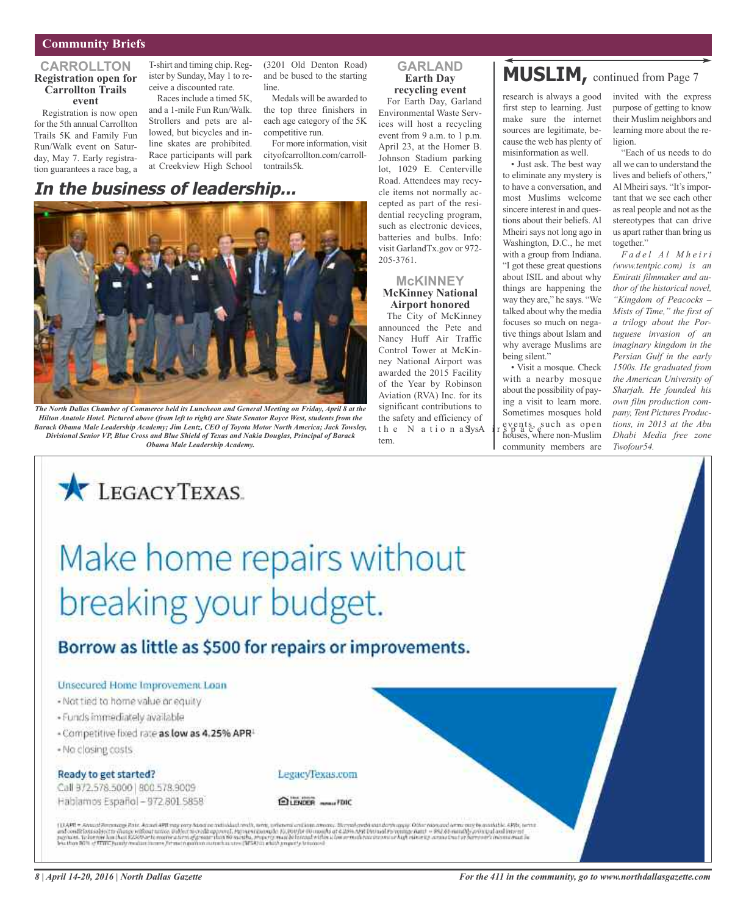#### **Community Briefs**

#### **CARROLLTON Registration open for Carrollton Trails event**

Registration is now open for the 5th annual Carrollton Trails 5K and Family Fun Run/Walk event on Saturday, May 7. Early registration guarantees a race bag, a

T-shirt and timing chip. Register by Sunday, May 1 to receive a discounted rate.

Racesinclude a timed 5K, and a 1-mile Fun Run/Walk. Strollers and pets are allowed, but bicycles and inline skates are prohibited. Race participants will park at Creekview High School

### **In the business of leadership...**



The North Dallas Chamber of Commerce held its Luncheon and General Meeting on Friday, April 8 at the *Hilton Anatole Hotel. Pictured above (from left to right) are State Senator Royce West, students from the Barack Obama Male Leadership Academy; Jim Lentz, CEO of Toyota Motor North America; Jack Towsley, Divisional Senior VP, Blue Cross and Blue Shield of Texas and Nakia Douglas, Principal of Barack Obama Male Leadership Academy.*

#### **GARLAND Earth Day recycling event**

(3201 Old Denton Road) and be bused to the starting

Medals will be awarded to the top three finishers in each age category of the 5K

For more information, visit cityofcarrollton.com/carroll-

competitive run.

tontrails5k.

line.

For Earth Day, Garland Environmental Waste Services will host a recycling event from 9 a.m. to 1 p.m. April 23, at the Homer B. Johnson Stadium parking lot, 1029 E. Centerville Road. Attendees may recycle items not normally accepted as part of the residential recycling program, such as electronic devices, batteries and bulbs. Info: visit GarlandTx.gov or 972- 205-3761.

### **McKINNEY**

#### **McKinney National Airport honored**

The City of McKinney announced the Pete and Nancy Huff Air Traffic Control Tower at McKinney National Airport was awarded the 2015 Facility of the Year by Robinson Aviation (RVA) Inc. for its significant contributions to the safety and efficiency of the N ation a SysA tem.

### **MUSLIM,** continued from Page <sup>7</sup>

research is always a good first step to learning. Just make sure the internet sources are legitimate, because the web has plenty of misinformation as well.

• Just ask. The best way to eliminate any mystery is to have a conversation, and most Muslims welcome sincere interest in and questions about their beliefs. Al Mheiri says not long ago in Washington, D.C., he met with a group from Indiana. "I got these great questions about ISIL and about why things are happening the way they are," he says. "We talked about why the media focuses so much on negative things about Islam and why average Muslims are being silent."

• Visit a mosque. Check with a nearby mosque about the possibility of paying a visit to learn more. Sometimes mosques hold events, such as open houses, where non-Muslim community members are

invited with the express purpose of getting to know their Muslim neighbors and learning more about the religion.

"Each of us needs to do all we can to understand the lives and beliefs of others," Al Mheiri says. "It's important that we see each other as real people and not as the stereotypes that can drive us apart rather than bring us together."

*F a d e l A l M h e i r i (www.tentpic.com) is an Emirati filmmaker and author of the historical novel, "Kingdom of Peacocks – Mists of Time," the first of a trilogy about the Portuguese invasion of an imaginary kingdom in the Persian Gulf in the early 1500s. He graduated from the American University of Sharjah. He founded his own film production company, Tent Pictures Productions, in 2013 at the Abu Dhabi Media free zone Twofour54.*

# Make home repairs without breaking your budget.

### Borrow as little as \$500 for repairs or improvements.

#### Unsecured Home Improvement Loan

LEGACYTEXAS

- Not tied to home value or equity
- · Funds immediately available
- Competitive lixed rate as low as 4.25% APR<sup>1</sup>
- . No closing costs

#### Ready to get started?

Call 372,578,5000 | 800.578,9009 Habiamos Español - 972.801.5858 LegacyTexas.com

ELENDER meast FDIC

(1248) = Annal Recency Bair Annal 491 mg rery Ased as adialist red), area, orients callain aware. Nevel earth underheavily also reasonal late asy to analish. 48%, were<br>and onditions about these reflect university and appro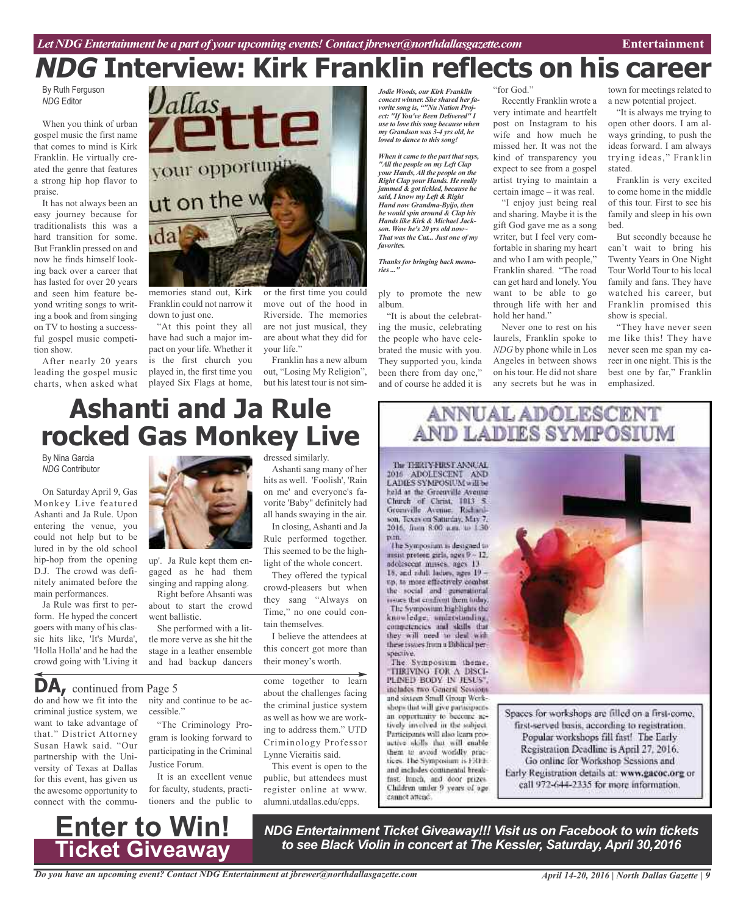# **NDG Interview: Kirk Franklin reflects on his career**

By Ruth Ferguson *NDG* Editor

When you think of urban gospel music the first name that comes to mind is Kirk Franklin. He virtually created the genre that features a strong hip hop flavor to praise.

It has not always been an easy journey because for traditionalists this was a hard transition for some. But Franklin pressed on and now he finds himself looking back over a career that has lasted for over 20 years and seen him feature beyond writing songs to writing a book and from singing on TV to hosting a successful gospel music competition show.

After nearly 20 years leading the gospel music charts, when asked what



memories stand out, Kirk Franklin could not narrow it down to just one.

"At this point they all have had such a major impact on your life. Whether it is the first church you played in, the first time you played Six Flags at home,

or the first time you could move out of the hood in Riverside. The memories are not just musical, they are about what they did for your life."

Franklin has a new album out, "Losing My Religion", but his latest tour is not sim-

Ashanti sang many of her hits as well. 'Foolish', 'Rain on me' and everyone's favorite 'Baby" definitely had all hands swaying in the air. In closing, Ashanti and Ja Rule performed together. This seemed to be the highlight of the whole concert. They offered the typical crowd-pleasers but when they sang "Always on Time," no one could con-

*Jodie Woods, our Kirk Franklin concert winner. She shared her favorite song is, ""Nu Nation Project: "If You've Been Delivered" I use to love this song because when my Grandson was 3-4 yrs old, he loved to dance to this song!*

*When it came to the part that says, "All the people on my Left Clap your Hands,All the people on the Right Clap your Hands. He really jammed & got tickled, because he said, I know my Left & Right Hand now Grandma-Byijo, then he would spin around & Clap his Hands like Kirk & Michael Jackson. Wow he's 20 yrs old now~ That was the Cut... Just one of my favorites.*

*Thanks for bringing back memories ..."*

ply to promote the new album. "It is about the celebrat-

ing the music, celebrating the people who have celebrated the music with you. They supported you, kinda been there from day one," and of course he added it is

#### "for God."

Recently Franklin wrote a very intimate and heartfelt post on Instagram to his wife and how much he missed her. It was not the kind of transparency you expect to see from a gospel artist trying to maintain a certain image – it was real.

"I enjoy just being real and sharing. Maybe it is the gift God gave me as a song writer, but I feel very comfortable in sharing my heart and who I am with people," Franklin shared. "The road can get hard and lonely. You want to be able to go through life with her and hold her hand."

Never one to rest on his laurels, Franklin spoke to *NDG* by phone while in Los Angeles in between shows on his tour. He did not share any secrets but he was in

town for meetings related to a new potential project.

"It is always me trying to open other doors. I am always grinding, to push the ideas forward. I am always trying ideas," Franklin stated.

Franklin is very excited to come home in the middle of this tour. First to see his family and sleep in his own bed.

But secondly because he can't wait to bring his Twenty Years in One Night Tour World Tour to his local family and fans. They have watched his career, but Franklin promised this show is special.

"They have never seen me like this! They have never seen me span my career in one night. This is the best one by far," Franklin emphasized.

### dressed similarly. **Ashanti and Ja Rule rocked Gas Monkey Live**

By Nina Garcia *NDG* Contributor

On Saturday April 9, Gas Monkey Live featured Ashanti and Ja Rule. Upon entering the venue, you could not help but to be lured in by the old school hip-hop from the opening D.J. The crowd was definitely animated before the main performances.

Ja Rule was first to perform. He hyped the concert goers with many of his classic hits like, 'It's Murda', 'Holla Holla' and he had the crowd going with 'Living it

gaged as he had them singing and rapping along.

Right before Ahsanti was about to start the crowd went ballistic.

She performed with a little more verve as she hit the stage in a leather ensemble and had backup dancers

cessible."

Justice Forum.

do and how we fit into the nity and continue to be ac-**DA,** continued from Page <sup>5</sup>

criminal justice system, we want to take advantage of that." District Attorney Susan Hawk said. "Our partnership with the University of Texas at Dallas for this event, has given us the awesome opportunity to connect with the commu-



"The Criminology Program is looking forward to participating in the Criminal

It is an excellent venue for faculty, students, practitioners and the public to come together to learn about the challenges facing the criminal justice system as well as how we are working to address them." UTD Criminology Professor Lynne Vieraitis said.

I believe the attendees at this concert got more than their money's worth.

tain themselves.

This event is open to the public, but attendees must register online at www. alumni.utdallas.edu/epps.

## **ANNUAL ADOLESCENT AND LADIES SYMPOSIUM**

The THRTY-FIRST ANNUAL 2016 ADOLESCENT AND<br>LADIES SYMPOSIUM will be held at the Greenville Ayeune Church of Christ, 1013 S. Greenville Avenue, Rachardson, Texas on Saturday, May 7. 2016, from 8.00 n.m. to 1.30 pen.

The Symposium is designed to msist preteen girls, nges 9 - 12. adolescent misses, ages 13 15, and zilul. ladies, ages 19 up, to more effectively combat the social and generational issues that confront them today. The Symposium highlights the knowledge, understunding, competencies and skills that they will need to deal with these issues from a Biblical perspective.

The Symposium theme. **TIRIVING FOR A DISCI-**PLINED BODY IN JESUS". includes two General Sessions and sixteen Small Group Workshops that will give participants. an opportunity to become actively involved in the subject. Participants will also karn proactive skills that will enable them to avoid worldly proctices. The Symposium is FRFE and includes continental breakfast lanch, and door prizes

Children under 9 years of age

cannet attend.



Spaces for workshops are filled on a first-come, first-served basis, according to registration. Popular workshops fill fast! The Early Registration Deadline is April 27, 2016. Go online for Workshop Sessions and Early Registration details at: www.gacoc.org or call 972-644-2335 for more information.

**Enter to Win! Ticket Giveaway**

*NDG Entertainment Ticket Giveaway!!! Visit us on Facebook to win tickets to see Black Violin in concert at The Kessler, Saturday, April 30,2016*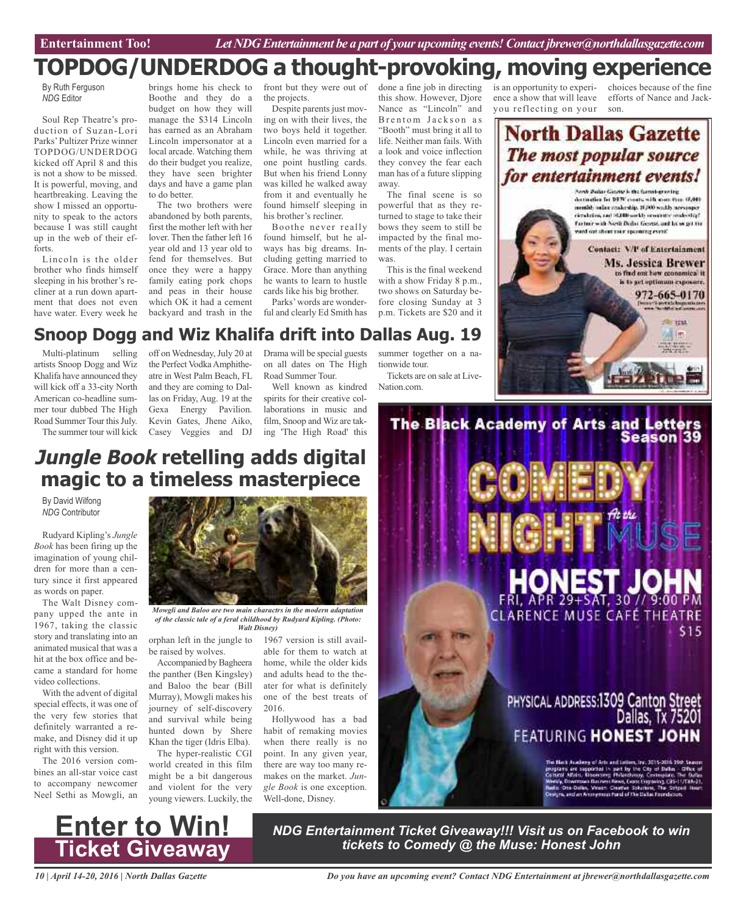### **TOPDOG/UNDERDOG a thought-provoking, moving experience**

By Ruth Ferguson *NDG* Editor

Soul Rep Theatre's production of Suzan-Lori Parks'Pultizer Prize winner TOPDOG/UNDERDOG kicked off April 8 and this is not a show to be missed. It is powerful, moving, and heartbreaking. Leaving the show I missed an opportunity to speak to the actors because I was still caught up in the web of their efforts.

Lincoln is the older brother who finds himself sleeping in his brother's recliner at a run down apartment that does not even have water. Every week he

brings home his check to Boothe and they do a budget on how they will manage the \$314 Lincoln has earned as an Abraham Lincoln impersonator at a local arcade. Watching them do their budget you realize, they have seen brighter days and have a game plan to do better.

The two brothers were abandoned by both parents, first the mother left with her lover. Then the father left 16 year old and 13 year old to fend for themselves. But once they were a happy family eating pork chops and peas in their house which OK it had a cement backyard and trash in the front but they were out of the projects.

Despite parents just moving on with their lives, the two boys held it together. Lincoln even married for a while, he was thriving at one point hustling cards. But when his friend Lonny was killed he walked away from it and eventually he found himself sleeping in his brother's recliner.

Boothe never really found himself, but he always has big dreams. Including getting married to Grace. More than anything he wants to learn to hustle cards like his big brother.

Parks'words are wonderful and clearly Ed Smith has

done a fine job in directing this show. However, Djore Nance as "Lincoln" and Brentom Jackson as "Booth" must bring it all to life. Neither man fails. With a look and voice inflection they convey the fear each man has of a future slipping away.

The final scene is so powerful that as they returned to stage to take their bows they seem to still be impacted by the final moments of the play. I certain was.

This is the final weekend with a show Friday 8 p.m., two shows on Saturday before closing Sunday at 3 p.m. Tickets are \$20 and it is an opportunity to experience a show that will leave you reflecting on your

choices because of the fine efforts of Nance and Jackson.

### **North Dallas Gazette** The most popular source for entertainment events!

Fords Bullar Group is the farms-graving detaction for DFW cours with something (6,00) mental, online readership. 10,000 worlds see sompr circulation, and HDBB workly remainster readership? Fartner with Next Dellas Genetic and let us get the litves grimoupt vaint two for free from



### **Snoop Dogg and Wiz Khalifa drift into Dallas Aug. 19**

Multi-platinum selling artists Snoop Dogg and Wiz Khalifa have announced they will kick off a 33-city North American co-headline summer tour dubbed The High Road Summer Tour this July. The summer tour will kick

off on Wednesday,July 20 at the Perfect Vodka Amphitheatre in West Palm Beach, FL and they are coming to Dallas on Friday, Aug. 19 at the Gexa Energy Pavilion. Kevin Gates, Jhene Aiko, Casey Veggies and DJ

Drama will be special guests on all dates on The High Road Summer Tour.

Well known as kindred spirits for their creative collaborations in music and film, Snoop and Wiz are taking 'The High Road' this summer together on a nationwide tour. Tickets are on sale at Live-

Nation.com.

### **Jungle Book retelling adds digital magic to a timeless masterpiece**

By David Wilfong *NDG* Contributor

Rudyard Kipling's *Jungle Book* has been firing up the imagination of young children for more than a century since it first appeared as words on paper.

The Walt Disney company upped the ante in 1967, taking the classic story and translating into an animated musical that was a hit at the box office and became a standard for home video collections.

With the advent of digital special effects, it was one of the very few stories that definitely warranted a remake, and Disney did it up right with this version.

The 2016 version combines an all-star voice cast to accompany newcomer Neel Sethi as Mowgli, an



*Mowgli and Baloo are two main charactrs in the modern adaptation of the classic tale of a feral childhood by Rudyard Kipling. (Photo: Walt Disney)*

orphan left in the jungle to be raised by wolves.

Accompanied by Bagheera the panther (Ben Kingsley) and Baloo the bear (Bill Murray), Mowgli makes his journey of self-discovery and survival while being hunted down by Shere Khan the tiger (Idris Elba).

The hyper-realistic CGI world created in this film might be a bit dangerous and violent for the very young viewers. Luckily, the

1967 version is still available for them to watch at home, while the older kids and adults head to the theater for what is definitely one of the best treats of 2016.

Hollywood has a bad habit of remaking movies when there really is no point. In any given year, there are way too many remakes on the market. *Jungle Book* is one exception. Well-done, Disney.



*NDG Entertainment Ticket Giveaway!!! Visit us on Facebook to win tickets to Comedy @ the Muse: Honest John*

*10 | April 14-20, 2016 | North Dallas Gazette*

**Enter to Win!**

**Ticket Giveaway**

*Do you have an upcoming event? Contact NDG Entertainment at jbrewer@northdallasgazette.com*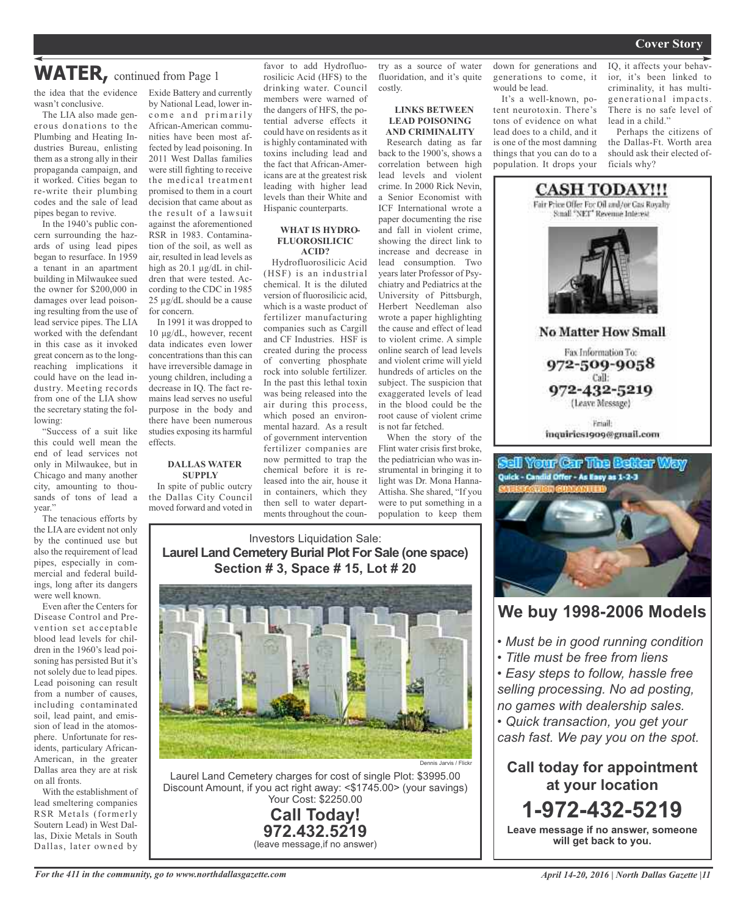### **WATER,** continued from Page <sup>1</sup>

wasn't conclusive.

The LIA also made generous donations to the Plumbing and Heating Industries Bureau, enlisting them as a strong ally in their propaganda campaign, and it worked. Cities began to re-write their plumbing codes and the sale of lead pipes began to revive.

In the 1940's public concern surrounding the hazards of using lead pipes began to resurface. In 1959 a tenant in an apartment building in Milwaukee sued the owner for \$200,000 in damages over lead poisoning resulting from the use of lead service pipes. The LIA worked with the defendant in this case as it invoked great concern as to the longreaching implications it could have on the lead industry. Meeting records from one of the LIA show the secretary stating the following:

"Success of a suit like this could well mean the end of lead services not only in Milwaukee, but in Chicago and many another city, amounting to thousands of tons of lead a vear.'

The tenacious efforts by the LIA are evident not only by the continued use but also the requirement of lead pipes, especially in commercial and federal buildings, long after its dangers were well known.

Even after the Centers for Disease Control and Prevention set acceptable blood lead levels for children in the 1960's lead poisoning has persisted But it's not solely due to lead pipes. Lead poisoning can result from a number of causes, including contaminated soil, lead paint, and emission of lead in the atomosphere. Unfortunate for residents, particulary African-American, in the greater Dallas area they are at risk on all fronts.

With the establishment of lead smeltering companies RSR Metals (formerly Soutern Lead) in West Dallas, Dixie Metals in South Dallas, later owned by

the idea that the evidence Exide Battery and currently by National Lead, lower income and primarily African-American communities have been most affected by lead poisoning. In 2011 West Dallas families were still fighting to receive the medical treatment promised to them in a court decision that came about as the result of a lawsuit against the aforementioned RSR in 1983. Contamination of the soil, as well as air, resulted in lead levels as high as 20.1 µg/dL in children that were tested. According to the CDC in 1985 25 µg/dL should be a cause

for concern. In 1991 it was dropped to 10 μg/dL, however, recent data indicates even lower concentrations than this can have irreversible damage in young children, including a decrease in IQ. The fact remains lead serves no useful purpose in the body and there have been numerous studies exposing its harmful effects.

#### **DALLAS WATER SUPPLY**

In spite of public outcry the Dallas City Council moved forward and voted in favor to add Hydrofluorosilicic Acid (HFS) to the drinking water. Council members were warned of the dangers of HFS, the potential adverse effects it could have on residents as it is highly contaminated with toxins including lead and the fact that African-Americans are at the greatest risk leading with higher lead levels than their White and

#### **WHAT IS HYDRO-FLUOROSILICIC ACID?**

Hispanic counterparts.

Hydrofluorosilicic Acid (HSF) is an industrial chemical. It is the diluted version of fluorosilicic acid, which is a waste product of fertilizer manufacturing companies such as Cargill and CF Industries. HSF is created during the process of converting phosphate rock into soluble fertilizer. In the past this lethal toxin was being released into the air during this process, which posed an environmental hazard. As a result of government intervention fertilizer companies are now permitted to trap the chemical before it is released into the air, house it in containers, which they then sell to water departments throughout the coun-

try as a source of water fluoridation, and it's quite costly.

#### **LINKS BETWEEN LEAD POISONING AND CRIMINALITY**

Research dating as far back to the 1900's, shows a correlation between high lead levels and violent crime. In 2000 Rick Nevin, a Senior Economist with ICF International wrote a paper documenting the rise and fall in violent crime, showing the direct link to increase and decrease in lead consumption. Two years later Professor of Psychiatry and Pediatrics at the University of Pittsburgh, Herbert Needleman also wrote a paper highlighting the cause and effect of lead to violent crime. A simple online search of lead levels and violent crime will yield hundreds of articles on the subject. The suspicion that exaggerated levels of lead in the blood could be the root cause of violent crime is not far fetched.

When the story of the Flint water crisis first broke, the pediatrician who was instrumental in bringing it to light was Dr. Mona Hanna-Attisha. She shared, "If you were to put something in a population to keep them

#### Investors Liquidation Sale: **Laurel Land Cemetery Burial Plot For Sale (one space) Section # 3, Space # 15, Lot # 20**



Laurel Land Cemetery charges for cost of single Plot: \$3995.00 Discount Amount, if you act right away: <\$1745.00> (your savings) Your Cost: \$2250.00

> **Call Today! 972.432.5219** (leave message,if no answer)

down for generations and generations to come, it would be lead. It's a well-known, po-

tent neurotoxin. There's tons of evidence on what lead does to a child, and it is one of the most damning things that you can do to a population. It drops your

IQ, it affects your behavior, it's been linked to criminality, it has multigenerational impacts. There is no safe level of lead in a child."

Perhaps the citizens of the Dallas-Ft. Worth area should ask their elected officials why?



(Leave Message) Email:

inquiries1909@gmail.com

### tell Your Car The Better Way Quick - Candid Offer - As Easy as 1-2-3



### **We buy 1998-2006 Models**

- *• Must be in good running condition*
- *• Title must be free from liens*

*• Easy steps to follow, hassle free selling processing. No ad posting, no games with dealership sales.*

*• Quick transaction, you get your cash fast. We pay you on the spot.*

**Call today for appointment at your location 1-972-432-5219**

**Leave message if no answer, someone will get back to you.**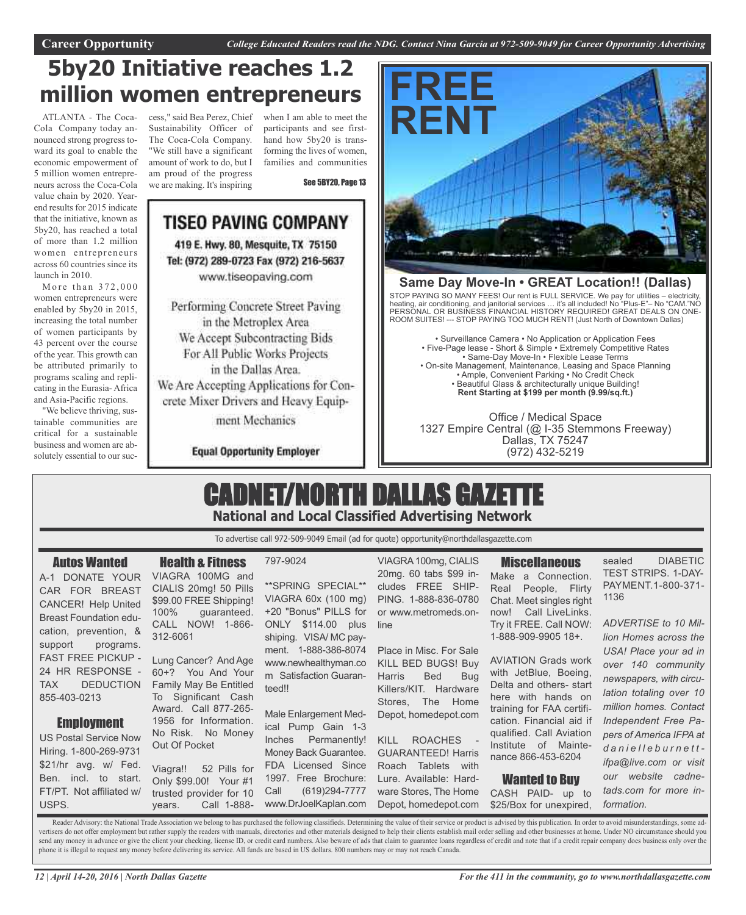## **5by20 Initiative reaches 1.2 million women entrepreneurs**

ATLANTA - The Coca-Cola Company today announced strong progress toward its goal to enable the economic empowerment of 5 million women entrepreneurs across the Coca-Cola value chain by 2020. Yearend results for 2015 indicate that the initiative, known as 5by20, has reached a total of more than 1.2 million women entrepreneurs across 60 countries since its launch in 2010.

More than  $372,000$ women entrepreneurs were enabled by 5by20 in 2015, increasing the total number of women participants by 43 percent over the course of the year. This growth can be attributed primarily to programs scaling and replicating in the Eurasia- Africa and Asia-Pacific regions.

"We believe thriving, sustainable communities are critical for a sustainable business and women are absolutely essential to our suc-

cess," said Bea Perez, Chief Sustainability Officer of The Coca-Cola Company. "We still have a significant amount of work to do, but I am proud of the progress we are making. It's inspiring

when I am able to meet the participants and see firsthand how 5by20 is transforming the lives of women, families and communities

See 5BY20, Page 13

### **TISEO PAVING COMPANY** 419 E. Hwy. 80, Mesquite, TX 75150 Tel: (972) 289-0723 Fax (972) 216-5637 www.tiseopaving.com

Performing Concrete Street Paving in the Metroplex Area We Accept Subcontracting Bids For All Public Works Projects in the Dallas Area. We Are Accepting Applications for Concrete Mixer Drivers and Heavy Equip-

ment Mechanics

#### **Equal Opportunity Employer**



#### **Same Day Move-In • GREAT Location!! (Dallas)**

STOP PAYING SO MANY FEES! Our rent is FULL SERVICE. We pay for utilities – electricity, heating, air conditioning, and janitorial services … it's all included! No "Plus-E"– No "CAM."NO PERSONAL OR BUSINESS FINANCIAL HISTORY REQUIRED! GREAT DEALS ON ONE-ROOM SUITES! --- STOP PAYING TOO MUCH RENT! (Just North of Downtown Dallas)

• Surveillance Camera • No Application or Application Fees • Five-Page lease - Short & Simple • Extremely Competitive Rates • Same-Day Move-In • Flexible Lease Terms • On-site Management, Maintenance, Leasing and Space Planning • Ample, Convenient Parking • No Credit Check • Beautiful Glass & architecturally unique Building! **Rent Starting at \$199 per month (9.99/sq.ft.)**

Office / Medical Space 1327 Empire Central (@ I-35 Stemmons Freeway) Dallas, TX 75247 (972) 432-5219

### CADNET/NORTH DALLAS GAZETTE **National and Local Classified Advertising Network**

To advertise call 972-509-9049 Email (ad for quote) opportunity@northdallasgazette.com

#### Autos Wanted

A-1 DONATE YOUR CAR FOR BREAST CANCER! Help United Breast Foundation education, prevention, & support programs. FAST FREE PICKUP - 24 HR RESPONSE - TAX DEDUCTION Family May Be Entitled 855-403-0213

### **Employment**

US Postal Service Now Hiring. 1-800-269-9731 \$21/hr avg. w/ Fed. Ben. incl. to start. FT/PT. Not affiliated w/ USPS.

### Health & Fitness

VIAGRA 100MG and CIALIS 20mg! 50 Pills \$99.00 FREE Shipping! 100% guaranteed. CALL NOW! 1-866- 312-6061

Lung Cancer? And Age 60+? You And Your To Significant Cash Award. Call 877-265- 1956 for Information. No Risk. No Money Out Of Pocket

Viagra!! 52 Pills for Only \$99.00! Your #1 trusted provider for 10 years. Call 1-888-

#### 797-9024

\*\*SPRING SPECIAL\*\* VIAGRA 60x (100 mg) +20 "Bonus" PILLS for ONLY \$114.00 plus shiping. VISA/ MC payment. 1-888-386-8074 www.newhealthyman.co m Satisfaction Guaranteed!!

Male Enlargement Medical Pump Gain 1-3 Inches Permanently! Money Back Guarantee. FDA Licensed Since 1997. Free Brochure: Call (619)294-7777 www.DrJoelKaplan.com

VIAGRA100mg, CIALIS 20mg. 60 tabs \$99 includes FREE SHIP-PING. 1-888-836-0780 or www.metromeds.online

Place in Misc. For Sale KILL BED BUGS! Buy Harris Bed Bug Killers/KIT. Hardware Stores, The Home Depot, homedepot.com

KILL ROACHES GUARANTEED! Harris Roach Tablets with Lure. Available: Hardware Stores, The Home Depot, homedepot.com

**Miscellaneous** Make a Connection. Real People, Flirty Chat. Meet singles right now! Call LiveLinks. Try it FREE. Call NOW: 1-888-909-9905 18+.

AVIATION Grads work with JetBlue, Boeing, Delta and others- start here with hands on training for FAA certification. Financial aid if qualified. Call Aviation Institute of Maintenance 866-453-6204

### Wanted to Buy

CASH PAID- up to \$25/Box for unexpired,

sealed DIABETIC TEST STRIPS. 1-DAY-PAYMENT.1-800-371- 1136

*ADVERTISE to 10 Million Homes across the USA! Place your ad in over 140 community newspapers, with circulation totaling over 10 million homes. Contact Independent Free Papers of America IFPA at d a n i e l l e b u r n e t t ifpa@live.com or visit our website cadnetads.com for more information.*

Reader Advisory: the National Trade Association we belong to has purchased the following classifieds. Determining the value of their service or product is advised by this publication. In order to avoid misunderstandings, s vertisers do not offer employment but rather supply the readers with manuals, directories and other materials designed to help their clients establish mail order selling and other businesses at home. Under NO circumstance send any money in advance or give the client your checking, license ID, or credit card numbers. Also beware of ads that claim to guarantee loans regardless of credit and note that if a credit repair company does business o phone it is illegal to request any money before delivering its service. All funds are based in US dollars. 800 numbers may or may not reach Canada.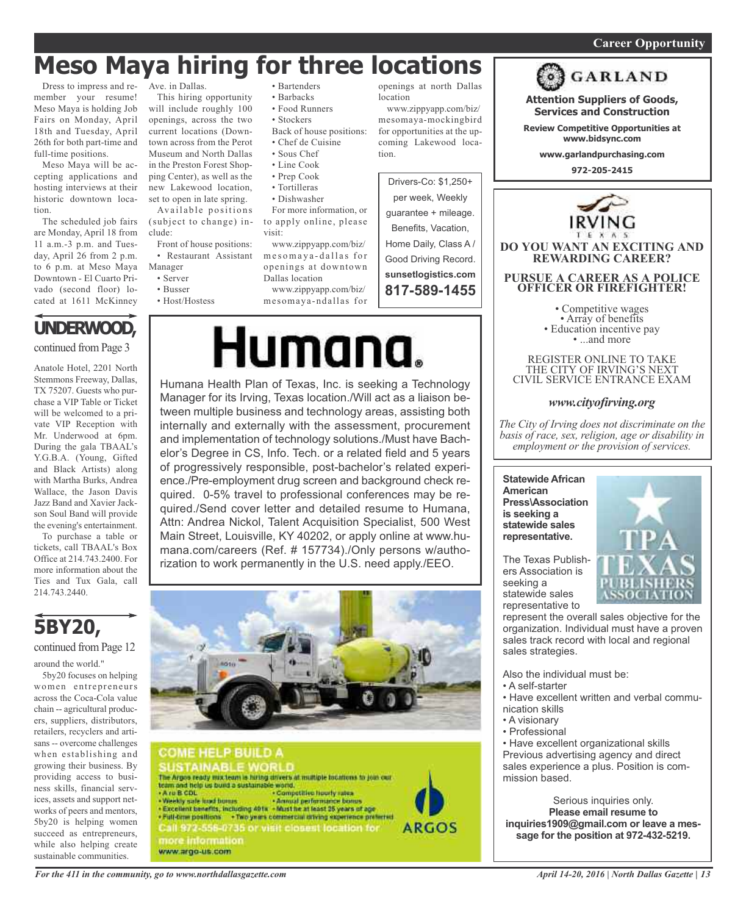#### *On a quest for qualified candidates? Contact Nina Garcia at 972-509-9049* **Career Opportunity**

# **Meso Maya hiring for three locations**

Dress to impress and remember your resume! Meso Maya is holding Job Fairs on Monday, April 18th and Tuesday, April 26th for both part-time and full-time positions.

Meso Maya will be accepting applications and hosting interviews at their historic downtown location.

The scheduled job fairs are Monday, April 18 from 11 a.m.-3 p.m. and Tuesday, April 26 from 2 p.m. to 6 p.m. at Meso Maya Downtown - El Cuarto Privado (second floor) located at 1611 McKinney

# **UNDERWOOD,**

continued from Page 3

Anatole Hotel, 2201 North Stemmons Freeway, Dallas, TX 75207. Guests who purchase a VIP Table or Ticket will be welcomed to a private VIP Reception with Mr. Underwood at 6pm. During the gala TBAAL's Y.G.B.A. (Young, Gifted and Black Artists) along with Martha Burks, Andrea Wallace, the Jason Davis Jazz Band and Xavier Jackson Soul Band will provide the evening's entertainment.

To purchase a table or tickets, call TBAAL's Box Office at 214.743.2400. For more information about the Ties and Tux Gala, call 214.743.2440.



continued from Page 12

around the world."

5by20 focuses on helping women entrepreneurs across the Coca-Cola value chain -- agricultural producers, suppliers, distributors, retailers, recyclers and artisans -- overcome challenges when establishing and growing their business. By providing access to business skills, financial services, assets and support networks of peers and mentors, 5by20 is helping women succeed as entrepreneurs, while also helping create sustainable communities.

Ave. in Dallas.

This hiring opportunity will include roughly 100 openings, across the two current locations (Downtown across from the Perot Museum and North Dallas in the Preston Forest Shopping Center), as well as the new Lakewood location, set to open in late spring. Available positions

(subject to change) include:

Front of house positions: • Restaurant Assistant

- Manager • Server
	- Busser
	- Host/Hostess
- Bartenders • Barbacks
- Food Runners
- Stockers
- 
- Back of house positions: • Chef de Cuisine
- Sous Chef
- Line Cook
- Prep Cook
- Tortilleras
- Dishwasher

For more information, or to apply online, please visit:

www.zippyapp.com/biz/ mes omay a-dallas for openings at downtown Dallas location

mesomaya-ndallas for

# Humana.

Humana Health Plan of Texas, Inc. is seeking a Technology Manager for its Irving, Texas location./Will act as a liaison between multiple business and technology areas, assisting both internally and externally with the assessment, procurement and implementation of technology solutions./Must have Bachelor's Degree in CS, Info. Tech. or a related field and 5 years of progressively responsible, post-bachelor's related experience./Pre-employment drug screen and background check required. 0-5% travel to professional conferences may be required./Send cover letter and detailed resume to Humana, Attn: Andrea Nickol, Talent Acquisition Specialist, 500 West Main Street, Louisville, KY 40202, or apply online at www.humana.com/careers (Ref. # 157734)./Only persons w/authorization to work permanently in the U.S. need apply./EEO.





openings at north Dallas location

www.zippyapp.com/biz/ mesomaya-mockingbird for opportunities at the upcoming Lakewood location.



**GARLAND Attention Suppliers of Goods, Services and Construction**

**Review Competitive Opportunities at www.bidsync.com**

**www.garlandpurchasing.com**

**972-205-2415**



REGISTER ONLINE TO TAKE THE CITY OF IRVING'S NEXT CIVIL SERVICE ENTRANCE EXAM

#### *www.cityofirving.org*

*The City of Irving does not discriminate on the basis of race, sex, religion, age or disability in employment or the provision of services.*

**Statewide African American Press\Association is seeking a statewide sales representative.**

The Texas Publishers Association is seeking a statewide sales representative to



represent the overall sales objective for the organization. Individual must have a proven sales track record with local and regional sales strategies.

Also the individual must be:

- A self-starter
- Have excellent written and verbal communication skills
- A visionary
- Professional

• Have excellent organizational skills Previous advertising agency and direct sales experience a plus. Position is commission based.

Serious inquiries only. **Please email resume to inquiries1909@gmail.com or leave a message for the position at 972-432-5219.**



www.zippyapp.com/biz/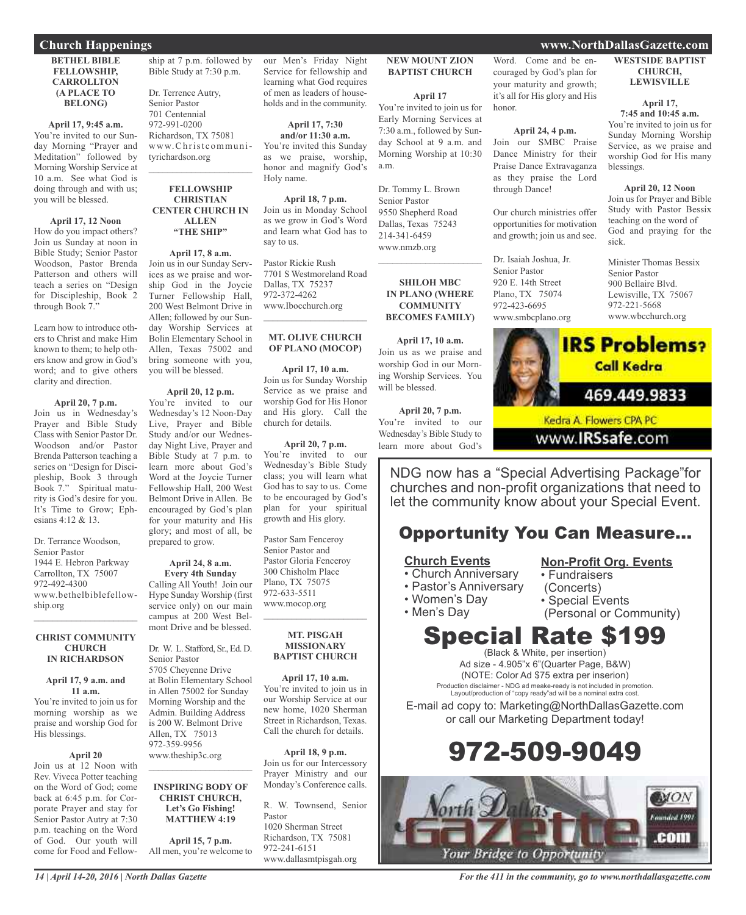#### **Church Happenings www.NorthDallasGazette.com**

#### **BETHEL BIBLE FELLOWSHIP, CARROLLTON (A PLACE TO BELONG)**

#### **April 17, 9:45 a.m.**

You're invited to our Sunday Morning "Prayer and Meditation" followed by Morning Worship Service at 10 a.m. See what God is doing through and with us; you will be blessed.

#### **April 17, 12 Noon**

How do you impact others? Join us Sunday at noon in Bible Study; Senior Pastor Woodson, Pastor Brenda Patterson and others will teach a series on "Design for Discipleship, Book 2 through Book 7."

Learn how to introduce others to Christ and make Him known to them; to help others know and grow in God's word; and to give others clarity and direction.

#### **April 20, 7 p.m.**

Join us in Wednesday's Prayer and Bible Study Class with Senior Pastor Dr. Woodson and/or Pastor Brenda Patterson teaching a series on "Design for Discipleship, Book 3 through Book 7." Spiritual maturity is God's desire for you. It's Time to Grow; Ephesians 4:12 & 13.

Dr. Terrance Woodson, Senior Pastor 1944 E. Hebron Parkway Carrollton, TX 75007 972-492-4300 www.bethelbiblefellowship.org  $\frac{1}{2}$  ,  $\frac{1}{2}$  ,  $\frac{1}{2}$  ,  $\frac{1}{2}$  ,  $\frac{1}{2}$  ,  $\frac{1}{2}$  ,  $\frac{1}{2}$  ,  $\frac{1}{2}$  ,  $\frac{1}{2}$  ,  $\frac{1}{2}$ 

#### **CHRIST COMMUNITY CHURCH IN RICHARDSON**

#### **April 17, 9 a.m. and 11 a.m.**

You're invited to join us for morning worship as we praise and worship God for His blessings.

#### **April 20**

Join us at 12 Noon with Rev. Viveca Potter teaching on the Word of God; come back at 6:45 p.m. for Corporate Prayer and stay for Senior Pastor Autry at 7:30 p.m. teaching on the Word of God. Our youth will come for Food and Fellowship at 7 p.m. followed by Bible Study at 7:30 p.m.

Dr. Terrence Autry, Senior Pastor 701 Centennial 972-991-0200 Richardson, TX 75081 www.Christcommunityrichardson.org  $\mathcal{L}_\text{max}$  , which is a set of the set of the set of the set of the set of the set of the set of the set of the set of the set of the set of the set of the set of the set of the set of the set of the set of the set of

#### **FELLOWSHIP CHRISTIAN CENTER CHURCH IN ALLEN "THE SHIP"**

**April 17, 8 a.m.** Join us in our Sunday Services as we praise and worship God in the Joycie Turner Fellowship Hall, 200 West Belmont Drive in Allen; followed by our Sunday Worship Services at Bolin Elementary School in Allen, Texas 75002 and bring someone with you, you will be blessed.

#### **April 20, 12 p.m.**

You're invited to our Wednesday's 12 Noon-Day Live, Prayer and Bible Study and/or our Wednesday Night Live, Prayer and Bible Study at 7 p.m. to learn more about God's Word at the Joycie Turner Fellowship Hall, 200 West Belmont Drive in Allen. Be encouraged by God's plan for your maturity and His glory; and most of all, be prepared to grow.

#### **April 24, 8 a.m. Every 4th Sunday**

Calling All Youth! Join our Hype Sunday Worship (first service only) on our main campus at 200 West Belmont Drive and be blessed.

Dr. W. L. Stafford, Sr., Ed. D. Senior Pastor 5705 Cheyenne Drive at Bolin Elementary School in Allen 75002 for Sunday Morning Worship and the Admin. Building Address is 200 W. Belmont Drive Allen, TX 75013 972-359-9956 www.theship3c.org

#### **INSPIRING BODY OF CHRIST CHURCH, Let's Go Fishing! MATTHEW 4:19**

 $\mathcal{L}_\text{max}$  , which is a set of the set of the set of the set of the set of the set of the set of the set of the set of the set of the set of the set of the set of the set of the set of the set of the set of the set of

**April 15, 7 p.m.** All men, you're welcome to our Men's Friday Night Service for fellowship and learning what God requires of men as leaders of households and in the community.

**April 17, 7:30 and/or 11:30 a.m.** You're invited this Sunday as we praise, worship, honor and magnify God's Holy name.

**April 18, 7 p.m.** Join us in Monday School as we grow in God's Word and learn what God has to say to us.

Pastor Rickie Rush 7701 S Westmoreland Road Dallas, TX 75237 972-372-4262 www.Ibocchurch.org

#### **MT. OLIVE CHURCH OF PLANO (MOCOP)**

 $\overline{\phantom{a}}$  , and the set of the set of the set of the set of the set of the set of the set of the set of the set of the set of the set of the set of the set of the set of the set of the set of the set of the set of the s

**April 17, 10 a.m.** Join us for Sunday Worship Service as we praise and worship God for His Honor and His glory. Call the church for details.

**April 20, 7 p.m.** You're invited to our Wednesday's Bible Study class; you will learn what God has to say to us. Come to be encouraged by God's plan for your spiritual growth and His glory.

Pastor Sam Fenceroy Senior Pastor and Pastor Gloria Fenceroy 300 Chisholm Place Plano, TX 75075 972-633-5511 www.mocop.org  $\overline{\phantom{a}}$  , and the set of the set of the set of the set of the set of the set of the set of the set of the set of the set of the set of the set of the set of the set of the set of the set of the set of the set of the s

#### **MT. PISGAH MISSIONARY BAPTIST CHURCH**

**April 17, 10 a.m.** You're invited to join us in our Worship Service at our new home, 1020 Sherman Street in Richardson, Texas. Call the church for details.

**April 18, 9 p.m.** Join us for our Intercessory Prayer Ministry and our Monday's Conference calls.

R. W. Townsend, Senior Pastor 1020 Sherman Street Richardson, TX 75081 972-241-6151 www.dallasmtpisgah.org

#### **NEW MOUNT ZION BAPTIST CHURCH**

**April 17**

You're invited to join us for Early Morning Services at 7:30 a.m., followed by Sunday School at 9 a.m. and Morning Worship at 10:30 a.m.

Dr. Tommy L. Brown Senior Pastor 9550 Shepherd Road Dallas, Texas 75243 214-341-6459 www.nmzb.org

#### **SHILOH MBC IN PLANO (WHERE COMMUNITY BECOMES FAMILY)**

 $\mathcal{L}$  , and the set of the set of the set of the set of the set of the set of the set of the set of the set of the set of the set of the set of the set of the set of the set of the set of the set of the set of the set

**April 17, 10 a.m.** Join us as we praise and worship God in our Morning Worship Services. You will be blessed.

**April 20, 7 p.m.** You're invited to our Wednesday's Bible Study to learn more about God's

Word. Come and be encouraged by God's plan for your maturity and growth; it's all for His glory and His honor.

#### **April 24, 4 p.m.**

Join our SMBC Praise Dance Ministry for their Praise Dance Extravaganza as they praise the Lord through Dance!

Our church ministries offer opportunities for motivation and growth; join us and see.

Dr. Isaiah Joshua, Jr. Senior Pastor 920 E. 14th Street Plano, TX 75074 972-423-6695 www.smbcplano.org



**LEWISVILLE**

#### **April 17,**

**7:45 and 10:45 a.m.** You're invited to join us for Sunday Morning Worship Service, as we praise and worship God for His many blessings.

**April 20, 12 Noon** Join us for Prayer and Bible Study with Pastor Bessix teaching on the word of God and praying for the

Minister Thomas Bessix Senior Pastor 900 Bellaire Blvd. Lewisville, TX 75067 972-221-5668 www.wbcchurch.org



sick.

Kedra A. Flowers CPA PC

www.IRSsafe.com

NDG now has a "Special Advertising Package"for churches and non-profit organizations that need to let the community know about your Special Event.

### Opportunity You Can Measure...

#### **Church Events**

- Church Anniversary
- Pastor's Anniversary
- Women's Day

• Men's Day

(Concerts)

**Non-Profit Org. Events**

- Special Events
- (Personal or Community)

• Fundraisers

# Special Rate \$199

(Black & White, per insertion) Ad size - 4.905"x 6"(Quarter Page, B&W) (NOTE: Color Ad \$75 extra per inserion) Production disclaimer - NDG ad meake-ready is not included in promotion. Layout/production of "copy ready"ad will be a nominal extra cost.

E-mail ad copy to: Marketing@NorthDallasGazette.com or call our Marketing Department today!





*For the 411 in the community, go to www.northdallasgazette.com*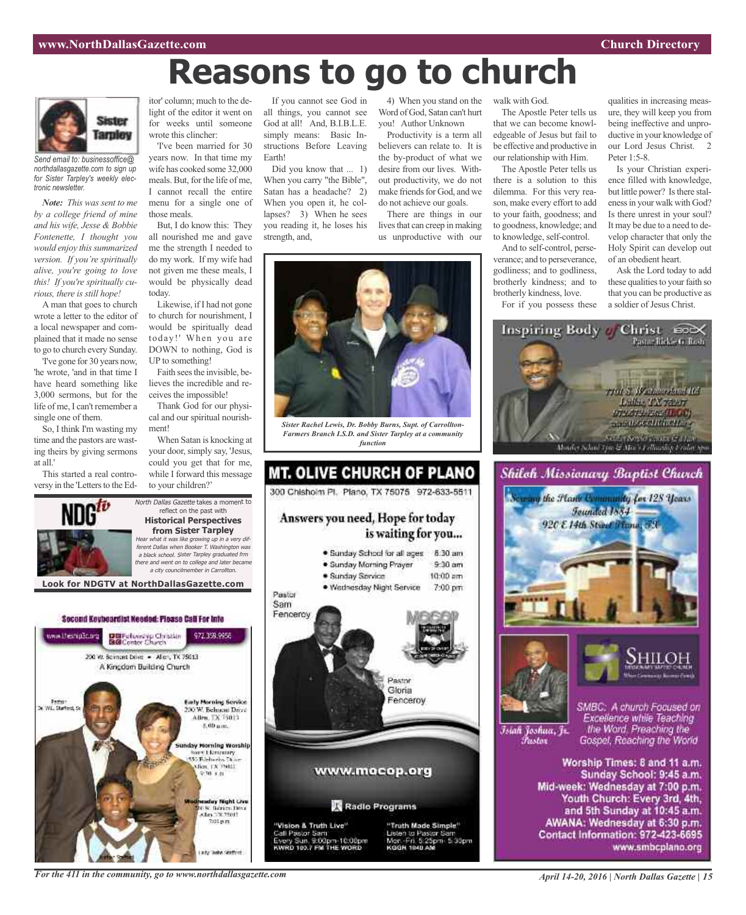# **Reasons to go to church**



*Send email to: businessoffice@ northdallasgazette.com to sign up for Sister Tarpley's weekly electronic newsletter.*

*Note: This was sent to me by a college friend of mine and his wife, Jesse & Bobbie Fontenette, I thought you would enjoy thissummarized version. If you're spiritually alive, you're going to love this! If you're spiritually curious, there is still hope!*

A man that goes to church wrote a letter to the editor of a local newspaper and complained that it made no sense to go to church every Sunday.

'I've gone for 30 years now, 'he wrote, 'and in that time I have heard something like 3,000 sermons, but for the life of me, I can't remember a single one of them.

So, I think I'm wasting my time and the pastors are wasting theirs by giving sermons at all.'

This started a real controversy in the 'Letters to the Ed-



'I've been married for 30 years now. In that time my wife has cooked some 32,000 meals. But, for the life of me, I cannot recall the entire menu for a single one of those meals.

But, I do know this: They all nourished me and gave me the strength I needed to do my work. If my wife had not given me these meals, I would be physically dead today.

Likewise, if I had not gone to church for nourishment, I would be spiritually dead today!' When you are DOWN to nothing, God is UP to something!

Faith sees the invisible, believes the incredible and receives the impossible!

Thank God for our physical and our spiritual nourishment!

When Satan is knocking at your door, simply say, 'Jesus, could you get that for me, while I forward this message to your children?'

North Dallas Gazette takes a moment to reflect on the past with **Historical Perspectives from Sister Tarpley** Hear what it was like growing up in <sup>a</sup> very different Dallas when Booker T. Washington was <sup>a</sup> black school. Sister Tarpley graduated frm there and went on to college and later became <sup>a</sup> city councilmember in Carrollton.

If you cannot see God in all things, you cannot see God at all! And, B.I.B.L.E. simply means: Basic Instructions Before Leaving Earth!

Did you know that ... 1) When you carry "the Bible", Satan has a headache? 2) When you open it, he collapses? 3) When he sees you reading it, he loses his strength, and,

4) When you stand on the Word of God, Satan can't hurt you! Author Unknown

Productivity is a term all believers can relate to. It is the by-product of what we desire from our lives. Without productivity, we do not make friends for God, and we do not achieve our goals. There are things in our

lives that can creep in making us unproductive with our



*Sister Rachel Lewis, Dr. Bobby Burns, Supt. of Carrollton-Farmers Branch I.S.D. and Sister Tarpley at a community function*

### **MT. OLIVE CHURCH OF PLANO** 300 Chishoim Pl. Plano, TX 75075 972-633-5511 Answers you need, Hope for today is waiting for you... · Sunday School for all ages 8:30 am · Sunday Morning Prayer  $9.30$  am



**Look for NDGTV at NorthDallasGazette.com**



Islah Joshua, Jr. Fustor

SMBC: A church Focused on Excellence while Teaching the Word. Preaching the Gospel, Reaching the World

Worship Times: 8 and 11 a.m. Sunday School: 9:45 a.m. Mid-week: Wednesday at 7:00 p.m. Youth Church: Every 3rd, 4th, and 5th Sunday at 10:45 a.m. AWANA: Wednesday at 6:30 p.m. Contact Information: 972-423-6695 www.smbcplano.org

*For the 411 in the community, go to www.northdallasgazette.com*

#### The Apostle Peter tells us that we can become knowl-

walk with God.

edgeable of Jesus but fail to be effective and productive in our relationship with Him.

The Apostle Peter tells us there is a solution to this dilemma. For this very reason, make every effort to add to your faith, goodness; and to goodness, knowledge; and to knowledge, self-control.

And to self-control, perseverance; and to perseverance, godliness; and to godliness, brotherly kindness; and to brotherly kindness, love. For if you possess these

qualities in increasing measure, they will keep you from being ineffective and unproductive in your knowledge of our Lord Jesus Christ. 2 Peter 1:5-8.

Is your Christian experience filled with knowledge, but little power? Is there stalenessin your walk with God? Is there unrest in your soul? It may be due to a need to develop character that only the Holy Spirit can develop out of an obedient heart.

Ask the Lord today to add these qualities to your faith so that you can be productive as a soldier of Jesus Christ.



Shiloh Missionary Baptist Church

Founded 1884

920 E 14th Street France, 73

the Flame Community for 128 Years